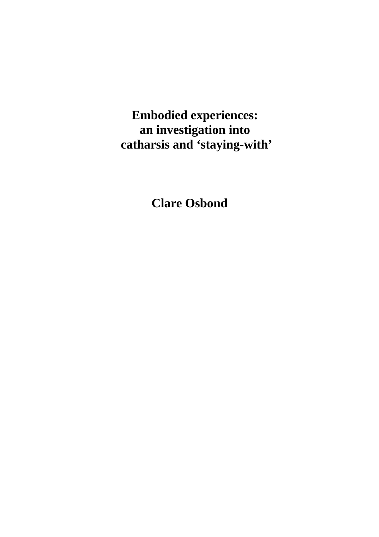**Embodied experiences: an investigation into catharsis and 'staying-with'** 

**Clare Osbond**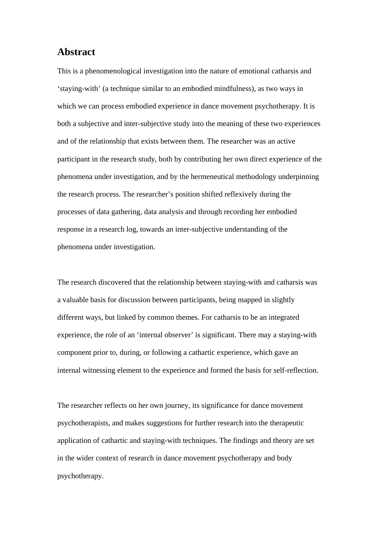# **Abstract**

This is a phenomenological investigation into the nature of emotional catharsis and 'staying-with' (a technique similar to an embodied mindfulness), as two ways in which we can process embodied experience in dance movement psychotherapy. It is both a subjective and inter-subjective study into the meaning of these two experiences and of the relationship that exists between them. The researcher was an active participant in the research study, both by contributing her own direct experience of the phenomena under investigation, and by the hermeneutical methodology underpinning the research process. The researcher's position shifted reflexively during the processes of data gathering, data analysis and through recording her embodied response in a research log, towards an inter-subjective understanding of the phenomena under investigation.

The research discovered that the relationship between staying-with and catharsis was a valuable basis for discussion between participants, being mapped in slightly different ways, but linked by common themes. For catharsis to be an integrated experience, the role of an 'internal observer' is significant. There may a staying-with component prior to, during, or following a cathartic experience, which gave an internal witnessing element to the experience and formed the basis for self-reflection.

The researcher reflects on her own journey, its significance for dance movement psychotherapists, and makes suggestions for further research into the therapeutic application of cathartic and staying-with techniques. The findings and theory are set in the wider context of research in dance movement psychotherapy and body psychotherapy.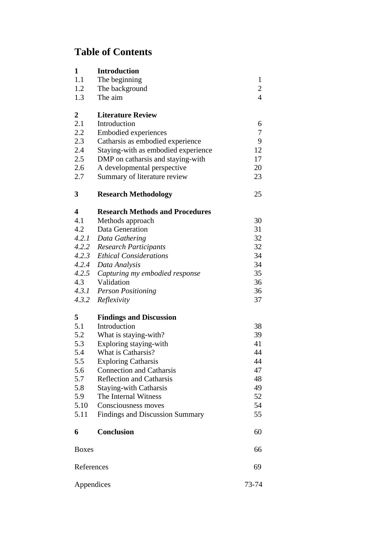# **Table of Contents**

| 1<br>1.1<br>1.2 | <b>Introduction</b><br>The beginning<br>The background          | $\mathbf{1}$<br>$\overline{2}$ |
|-----------------|-----------------------------------------------------------------|--------------------------------|
| 1.3             | The aim                                                         | $\overline{4}$                 |
| 2<br>2.1        | <b>Literature Review</b>                                        |                                |
| 2.2             | Introduction                                                    | 6<br>7                         |
| 2.3             | <b>Embodied experiences</b><br>Catharsis as embodied experience | 9                              |
| 2.4             | Staying-with as embodied experience                             | 12                             |
| 2.5             | DMP on catharsis and staying-with                               | 17                             |
| 2.6             | A developmental perspective                                     | 20                             |
| 2.7             | Summary of literature review                                    | 23                             |
| 3               | <b>Research Methodology</b>                                     | 25                             |
| 4               | <b>Research Methods and Procedures</b>                          |                                |
| 4.1             | Methods approach                                                | 30                             |
| 4.2             | Data Generation                                                 | 31                             |
| 4.2.1           | Data Gathering                                                  | 32                             |
| 4.2.2           | <b>Research Participants</b>                                    | 32                             |
| 4.2.3           | <b>Ethical Considerations</b>                                   | 34                             |
| 4.2.4           | Data Analysis                                                   | 34                             |
| 4.2.5           | Capturing my embodied response                                  | 35                             |
| 4.3             | Validation                                                      | 36                             |
|                 | 4.3.1 Person Positioning                                        | 36                             |
| 4.3.2           | Reflexivity                                                     | 37                             |
| 5               | <b>Findings and Discussion</b>                                  |                                |
| 5.1             | Introduction                                                    | 38                             |
| 5.2             | What is staying-with?                                           | 39                             |
| 5.3             | Exploring staying-with                                          | 41                             |
| 5.4             | What is Catharsis?                                              | 44                             |
| 5.5             | <b>Exploring Catharsis</b>                                      | 44                             |
| 5.6             | <b>Connection and Catharsis</b>                                 | 47                             |
| 5.7             | <b>Reflection and Catharsis</b>                                 | 48                             |
| 5.8             | <b>Staying-with Catharsis</b>                                   | 49                             |
| 5.9             | The Internal Witness<br>Consciousness moves                     | 52                             |
| 5.10<br>5.11    | Findings and Discussion Summary                                 | 54<br>55                       |
|                 |                                                                 |                                |
| 6               | <b>Conclusion</b>                                               | 60                             |
| <b>Boxes</b>    |                                                                 | 66                             |
| References      |                                                                 | 69                             |
| Appendices      |                                                                 | 73-74                          |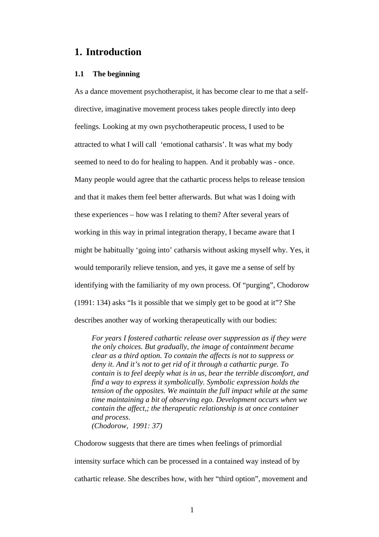# **1. Introduction**

# **1.1 The beginning**

As a dance movement psychotherapist, it has become clear to me that a selfdirective, imaginative movement process takes people directly into deep feelings. Looking at my own psychotherapeutic process, I used to be attracted to what I will call 'emotional catharsis'. It was what my body seemed to need to do for healing to happen. And it probably was - once. Many people would agree that the cathartic process helps to release tension and that it makes them feel better afterwards. But what was I doing with these experiences – how was I relating to them? After several years of working in this way in primal integration therapy, I became aware that I might be habitually 'going into' catharsis without asking myself why. Yes, it would temporarily relieve tension, and yes, it gave me a sense of self by identifying with the familiarity of my own process. Of "purging", Chodorow (1991: 134) asks "Is it possible that we simply get to be good at it"? She describes another way of working therapeutically with our bodies:

*For years I fostered cathartic release over suppression as if they were the only choices. But gradually, the image of containment became clear as a third option. To contain the affects is not to suppress or deny it. And it's not to get rid of it through a cathartic purge. To contain is to feel deeply what is in us, bear the terrible discomfort, and find a way to express it symbolically. Symbolic expression holds the tension of the opposites. We maintain the full impact while at the same time maintaining a bit of observing ego. Development occurs when we contain the affect,; the therapeutic relationship is at once container and process. (Chodorow, 1991: 37)* 

Chodorow suggests that there are times when feelings of primordial intensity surface which can be processed in a contained way instead of by cathartic release. She describes how, with her "third option", movement and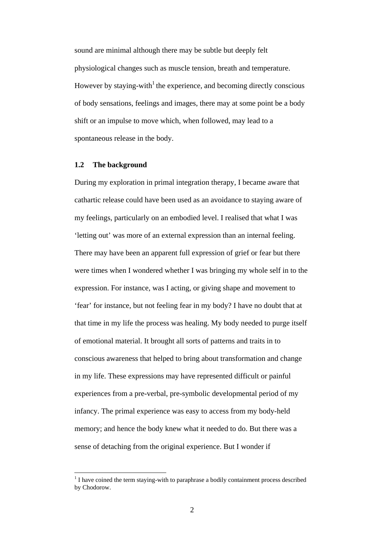sound are minimal although there may be subtle but deeply felt physiological changes such as muscle tension, breath and temperature. However by staying-with<sup>1</sup> the experience, and becoming directly conscious of body sensations, feelings and images, there may at some point be a body shift or an impulse to move which, when followed, may lead to a spontaneous release in the body.

## **1.2 The background**

 $\overline{a}$ 

During my exploration in primal integration therapy, I became aware that cathartic release could have been used as an avoidance to staying aware of my feelings, particularly on an embodied level. I realised that what I was 'letting out' was more of an external expression than an internal feeling. There may have been an apparent full expression of grief or fear but there were times when I wondered whether I was bringing my whole self in to the expression. For instance, was I acting, or giving shape and movement to 'fear' for instance, but not feeling fear in my body? I have no doubt that at that time in my life the process was healing. My body needed to purge itself of emotional material. It brought all sorts of patterns and traits in to conscious awareness that helped to bring about transformation and change in my life. These expressions may have represented difficult or painful experiences from a pre-verbal, pre-symbolic developmental period of my infancy. The primal experience was easy to access from my body-held memory; and hence the body knew what it needed to do. But there was a sense of detaching from the original experience. But I wonder if

 $<sup>1</sup>$  I have coined the term staying-with to paraphrase a bodily containment process described</sup> by Chodorow.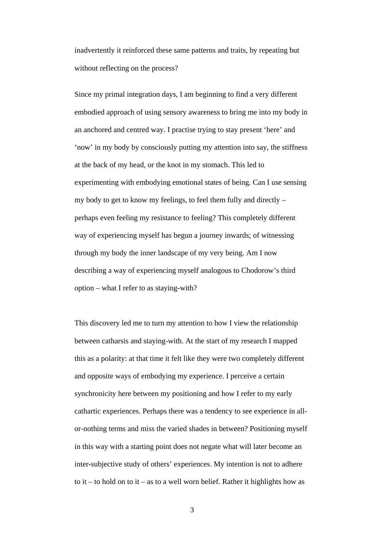inadvertently it reinforced these same patterns and traits, by repeating but without reflecting on the process?

Since my primal integration days, I am beginning to find a very different embodied approach of using sensory awareness to bring me into my body in an anchored and centred way. I practise trying to stay present 'here' and 'now' in my body by consciously putting my attention into say, the stiffness at the back of my head, or the knot in my stomach. This led to experimenting with embodying emotional states of being. Can I use sensing my body to get to know my feelings, to feel them fully and directly – perhaps even feeling my resistance to feeling? This completely different way of experiencing myself has begun a journey inwards; of witnessing through my body the inner landscape of my very being. Am I now describing a way of experiencing myself analogous to Chodorow's third option – what I refer to as staying-with?

This discovery led me to turn my attention to how I view the relationship between catharsis and staying-with. At the start of my research I mapped this as a polarity: at that time it felt like they were two completely different and opposite ways of embodying my experience. I perceive a certain synchronicity here between my positioning and how I refer to my early cathartic experiences. Perhaps there was a tendency to see experience in allor-nothing terms and miss the varied shades in between? Positioning myself in this way with a starting point does not negate what will later become an inter-subjective study of others' experiences. My intention is not to adhere to it – to hold on to it – as to a well worn belief. Rather it highlights how as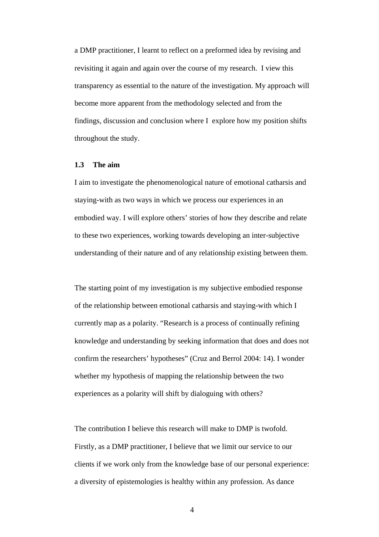a DMP practitioner, I learnt to reflect on a preformed idea by revising and revisiting it again and again over the course of my research. I view this transparency as essential to the nature of the investigation. My approach will become more apparent from the methodology selected and from the findings, discussion and conclusion where I explore how my position shifts throughout the study.

## **1.3 The aim**

I aim to investigate the phenomenological nature of emotional catharsis and staying-with as two ways in which we process our experiences in an embodied way. I will explore others' stories of how they describe and relate to these two experiences, working towards developing an inter-subjective understanding of their nature and of any relationship existing between them.

The starting point of my investigation is my subjective embodied response of the relationship between emotional catharsis and staying-with which I currently map as a polarity. "Research is a process of continually refining knowledge and understanding by seeking information that does and does not confirm the researchers' hypotheses" (Cruz and Berrol 2004: 14). I wonder whether my hypothesis of mapping the relationship between the two experiences as a polarity will shift by dialoguing with others?

The contribution I believe this research will make to DMP is twofold. Firstly, as a DMP practitioner, I believe that we limit our service to our clients if we work only from the knowledge base of our personal experience: a diversity of epistemologies is healthy within any profession. As dance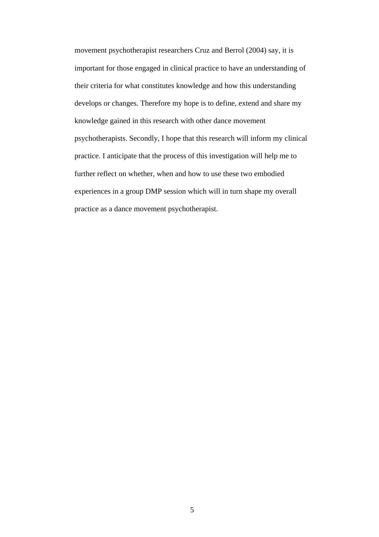movement psychotherapist researchers Cruz and Berrol (2004) say, it is important for those engaged in clinical practice to have an understanding of their criteria for what constitutes knowledge and how this understanding develops or changes. Therefore my hope is to define, extend and share my knowledge gained in this research with other dance movement psychotherapists. Secondly, I hope that this research will inform my clinical practice. I anticipate that the process of this investigation will help me to further reflect on whether, when and how to use these two embodied experiences in a group DMP session which will in turn shape my overall practice as a dance movement psychotherapist.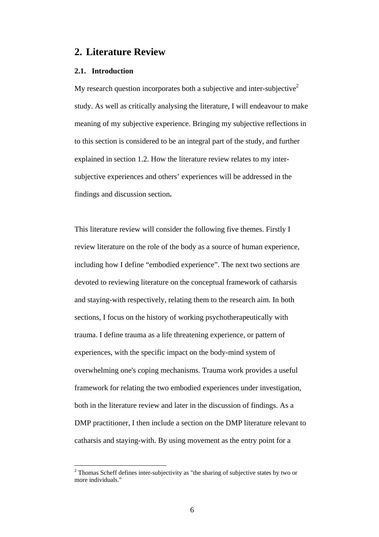# **2. Literature Review**

#### **2.1. Introduction**

 $\overline{a}$ 

My research question incorporates both a subjective and inter-subjective<sup>2</sup> study. As well as critically analysing the literature, I will endeavour to make meaning of my subjective experience. Bringing my subjective reflections in to this section is considered to be an integral part of the study, and further explained in section 1.2. How the literature review relates to my intersubjective experiences and others' experiences will be addressed in the findings and discussion section**.** 

This literature review will consider the following five themes. Firstly I review literature on the role of the body as a source of human experience, including how I define "embodied experience". The next two sections are devoted to reviewing literature on the conceptual framework of catharsis and staying-with respectively, relating them to the research aim. In both sections, I focus on the history of working psychotherapeutically with trauma. I define trauma as a life threatening experience, or pattern of experiences, with the specific impact on the body-mind system of overwhelming one's coping mechanisms. Trauma work provides a useful framework for relating the two embodied experiences under investigation, both in the literature review and later in the discussion of findings. As a DMP practitioner, I then include a section on the DMP literature relevant to catharsis and staying-with. By using movement as the entry point for a

 $2$  Thomas Scheff defines inter-subjectivity as "the sharing of subjective states by two or more individuals."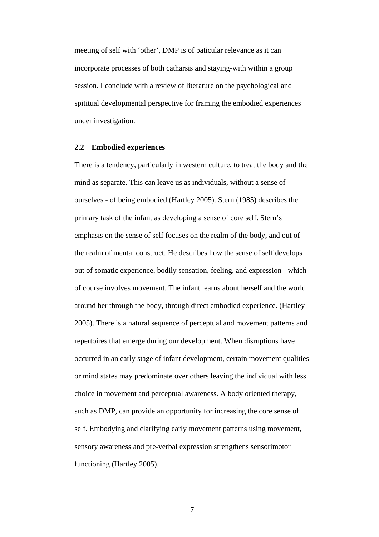meeting of self with 'other', DMP is of paticular relevance as it can incorporate processes of both catharsis and staying-with within a group session. I conclude with a review of literature on the psychological and spititual developmental perspective for framing the embodied experiences under investigation.

#### **2.2 Embodied experiences**

There is a tendency, particularly in western culture, to treat the body and the mind as separate. This can leave us as individuals, without a sense of ourselves - of being embodied (Hartley 2005). Stern (1985) describes the primary task of the infant as developing a sense of core self. Stern's emphasis on the sense of self focuses on the realm of the body, and out of the realm of mental construct. He describes how the sense of self develops out of somatic experience, bodily sensation, feeling, and expression - which of course involves movement. The infant learns about herself and the world around her through the body, through direct embodied experience. (Hartley 2005). There is a natural sequence of perceptual and movement patterns and repertoires that emerge during our development. When disruptions have occurred in an early stage of infant development, certain movement qualities or mind states may predominate over others leaving the individual with less choice in movement and perceptual awareness. A body oriented therapy, such as DMP, can provide an opportunity for increasing the core sense of self. Embodying and clarifying early movement patterns using movement, sensory awareness and pre-verbal expression strengthens sensorimotor functioning (Hartley 2005).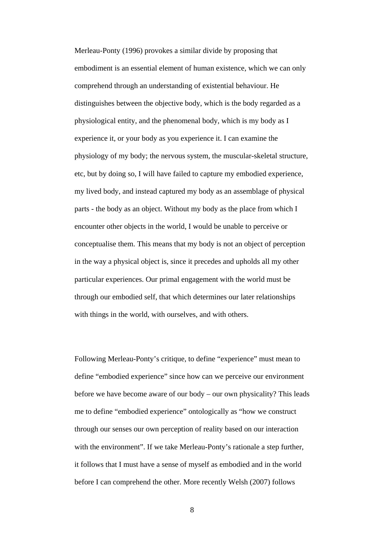Merleau-Ponty (1996) provokes a similar divide by proposing that embodiment is an essential element of human existence, which we can only comprehend through an understanding of existential behaviour. He distinguishes between the objective body, which is the body regarded as a physiological entity, and the phenomenal body, which is my body as I experience it, or your body as you experience it. I can examine the physiology of my body; the nervous system, the muscular-skeletal structure, etc, but by doing so, I will have failed to capture my embodied experience, my lived body, and instead captured my body as an assemblage of physical parts - the body as an object. Without my body as the place from which I encounter other objects in the world, I would be unable to perceive or conceptualise them. This means that my body is not an object of perception in the way a physical object is, since it precedes and upholds all my other particular experiences. Our primal engagement with the world must be through our embodied self, that which determines our later relationships with things in the world, with ourselves, and with others.

Following Merleau-Ponty's critique, to define "experience" must mean to define "embodied experience" since how can we perceive our environment before we have become aware of our body – our own physicality? This leads me to define "embodied experience" ontologically as "how we construct through our senses our own perception of reality based on our interaction with the environment". If we take Merleau-Ponty's rationale a step further, it follows that I must have a sense of myself as embodied and in the world before I can comprehend the other. More recently Welsh (2007) follows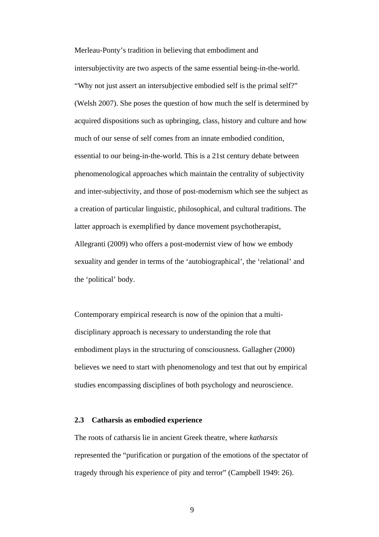Merleau-Ponty's tradition in believing that embodiment and intersubjectivity are two aspects of the same essential being-in-the-world. "Why not just assert an intersubjective embodied self is the primal self?" (Welsh 2007). She poses the question of how much the self is determined by acquired dispositions such as upbringing, class, history and culture and how much of our sense of self comes from an innate embodied condition, essential to our being-in-the-world. This is a 21st century debate between phenomenological approaches which maintain the centrality of subjectivity and inter-subjectivity, and those of post-modernism which see the subject as a creation of particular linguistic, philosophical, and cultural traditions. The latter approach is exemplified by dance movement psychotherapist, Allegranti (2009) who offers a post-modernist view of how we embody sexuality and gender in terms of the 'autobiographical', the 'relational' and the 'political' body.

Contemporary empirical research is now of the opinion that a multidisciplinary approach is necessary to understanding the role that embodiment plays in the structuring of consciousness. Gallagher (2000) believes we need to start with phenomenology and test that out by empirical studies encompassing disciplines of both psychology and neuroscience.

## **2.3 Catharsis as embodied experience**

The roots of catharsis lie in ancient Greek theatre, where *katharsis*  represented the "purification or purgation of the emotions of the spectator of tragedy through his experience of pity and terror" (Campbell 1949: 26).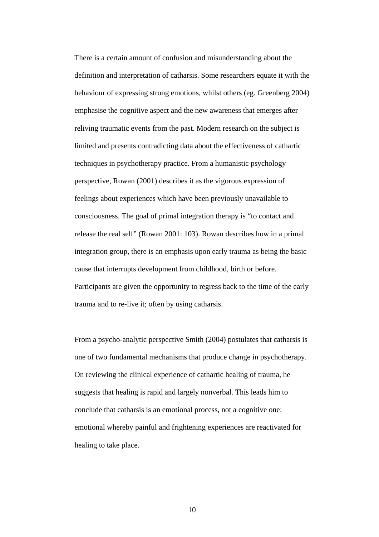There is a certain amount of confusion and misunderstanding about the definition and interpretation of catharsis. Some researchers equate it with the behaviour of expressing strong emotions, whilst others (eg. Greenberg 2004) emphasise the cognitive aspect and the new awareness that emerges after reliving traumatic events from the past. Modern research on the subject is limited and presents contradicting data about the effectiveness of cathartic techniques in psychotherapy practice. From a humanistic psychology perspective, Rowan (2001) describes it as the vigorous expression of feelings about experiences which have been previously unavailable to consciousness. The goal of primal integration therapy is "to contact and release the real self" (Rowan 2001: 103). Rowan describes how in a primal integration group, there is an emphasis upon early trauma as being the basic cause that interrupts development from childhood, birth or before. Participants are given the opportunity to regress back to the time of the early trauma and to re-live it; often by using catharsis.

From a psycho-analytic perspective Smith (2004) postulates that catharsis is one of two fundamental mechanisms that produce change in psychotherapy. On reviewing the clinical experience of cathartic healing of trauma, he suggests that healing is rapid and largely nonverbal. This leads him to conclude that catharsis is an emotional process, not a cognitive one: emotional whereby painful and frightening experiences are reactivated for healing to take place.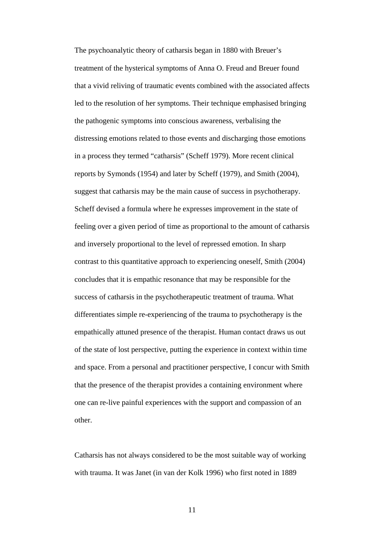The psychoanalytic theory of catharsis began in 1880 with Breuer's treatment of the hysterical symptoms of Anna O. Freud and Breuer found that a vivid reliving of traumatic events combined with the associated affects led to the resolution of her symptoms. Their technique emphasised bringing the pathogenic symptoms into conscious awareness, verbalising the distressing emotions related to those events and discharging those emotions in a process they termed "catharsis" (Scheff 1979). More recent clinical reports by Symonds (1954) and later by Scheff (1979), and Smith (2004), suggest that catharsis may be the main cause of success in psychotherapy. Scheff devised a formula where he expresses improvement in the state of feeling over a given period of time as proportional to the amount of catharsis and inversely proportional to the level of repressed emotion. In sharp contrast to this quantitative approach to experiencing oneself, Smith (2004) concludes that it is empathic resonance that may be responsible for the success of catharsis in the psychotherapeutic treatment of trauma. What differentiates simple re-experiencing of the trauma to psychotherapy is the empathically attuned presence of the therapist. Human contact draws us out of the state of lost perspective, putting the experience in context within time and space. From a personal and practitioner perspective, I concur with Smith that the presence of the therapist provides a containing environment where one can re-live painful experiences with the support and compassion of an other.

Catharsis has not always considered to be the most suitable way of working with trauma. It was Janet (in van der Kolk 1996) who first noted in 1889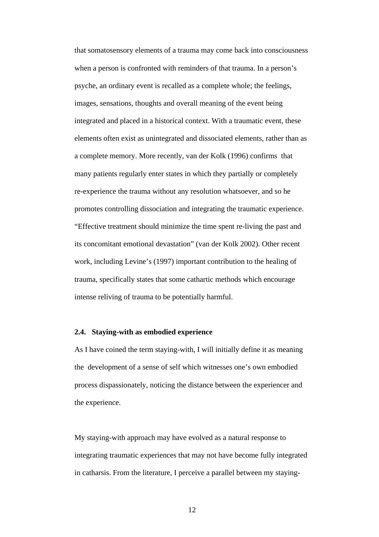that somatosensory elements of a trauma may come back into consciousness when a person is confronted with reminders of that trauma. In a person's psyche, an ordinary event is recalled as a complete whole; the feelings, images, sensations, thoughts and overall meaning of the event being integrated and placed in a historical context. With a traumatic event, these elements often exist as unintegrated and dissociated elements, rather than as a complete memory. More recently, van der Kolk (1996) confirms that many patients regularly enter states in which they partially or completely re-experience the trauma without any resolution whatsoever, and so he promotes controlling dissociation and integrating the traumatic experience. "Effective treatment should minimize the time spent re-living the past and its concomitant emotional devastation" (van der Kolk 2002). Other recent work, including Levine's (1997) important contribution to the healing of trauma, specifically states that some cathartic methods which encourage intense reliving of trauma to be potentially harmful.

## **2.4. Staying-with as embodied experience**

As I have coined the term staying-with, I will initially define it as meaning the development of a sense of self which witnesses one's own embodied process dispassionately, noticing the distance between the experiencer and the experience.

My staying-with approach may have evolved as a natural response to integrating traumatic experiences that may not have become fully integrated in catharsis. From the literature, I perceive a parallel between my staying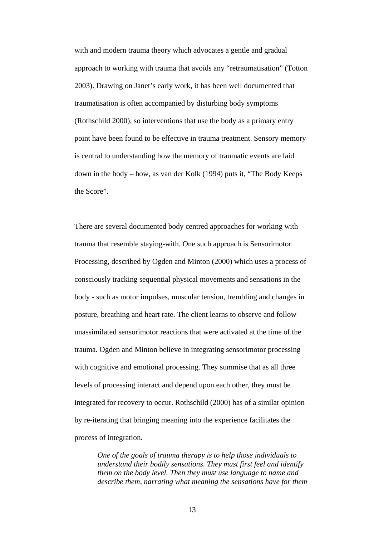with and modern trauma theory which advocates a gentle and gradual approach to working with trauma that avoids any "retraumatisation" (Totton 2003). Drawing on Janet's early work, it has been well documented that traumatisation is often accompanied by disturbing body symptoms (Rothschild 2000), so interventions that use the body as a primary entry point have been found to be effective in trauma treatment. Sensory memory is central to understanding how the memory of traumatic events are laid down in the body – how, as van der Kolk (1994) puts it, "The Body Keeps the Score".

There are several documented body centred approaches for working with trauma that resemble staying-with. One such approach is Sensorimotor Processing, described by Ogden and Minton (2000) which uses a process of consciously tracking sequential physical movements and sensations in the body - such as motor impulses, muscular tension, trembling and changes in posture, breathing and heart rate. The client learns to observe and follow unassimilated sensorimotor reactions that were activated at the time of the trauma. Ogden and Minton believe in integrating sensorimotor processing with cognitive and emotional processing. They summise that as all three levels of processing interact and depend upon each other, they must be integrated for recovery to occur. Rothschild (2000) has of a similar opinion by re-iterating that bringing meaning into the experience facilitates the process of integration.

*One of the goals of trauma therapy is to help those individuals to understand their bodily sensations. They must first feel and identify them on the body level. Then they must use language to name and describe them, narrating what meaning the sensations have for them*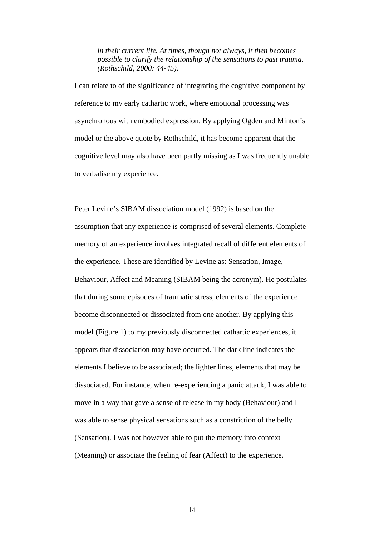*in their current life. At times, though not always, it then becomes possible to clarify the relationship of the sensations to past trauma. (Rothschild, 2000: 44-45).* 

I can relate to of the significance of integrating the cognitive component by reference to my early cathartic work, where emotional processing was asynchronous with embodied expression. By applying Ogden and Minton's model or the above quote by Rothschild, it has become apparent that the cognitive level may also have been partly missing as I was frequently unable to verbalise my experience.

Peter Levine's SIBAM dissociation model (1992) is based on the assumption that any experience is comprised of several elements. Complete memory of an experience involves integrated recall of different elements of the experience. These are identified by Levine as: Sensation, Image, Behaviour, Affect and Meaning (SIBAM being the acronym). He postulates that during some episodes of traumatic stress, elements of the experience become disconnected or dissociated from one another. By applying this model (Figure 1) to my previously disconnected cathartic experiences, it appears that dissociation may have occurred. The dark line indicates the elements I believe to be associated; the lighter lines, elements that may be dissociated. For instance, when re-experiencing a panic attack, I was able to move in a way that gave a sense of release in my body (Behaviour) and I was able to sense physical sensations such as a constriction of the belly (Sensation). I was not however able to put the memory into context (Meaning) or associate the feeling of fear (Affect) to the experience.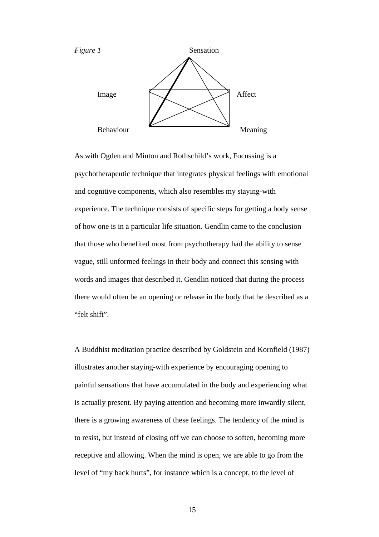

As with Ogden and Minton and Rothschild's work, Focussing is a psychotherapeutic technique that integrates physical feelings with emotional and cognitive components, which also resembles my staying-with experience. The technique consists of specific steps for getting a body sense of how one is in a particular life situation. Gendlin came to the conclusion that those who benefited most from psychotherapy had the ability to sense vague, still unformed feelings in their body and connect this sensing with words and images that described it. Gendlin noticed that during the process there would often be an opening or release in the body that he described as a "felt shift".

A Buddhist meditation practice described by Goldstein and Kornfield (1987) illustrates another staying-with experience by encouraging opening to painful sensations that have accumulated in the body and experiencing what is actually present. By paying attention and becoming more inwardly silent, there is a growing awareness of these feelings. The tendency of the mind is to resist, but instead of closing off we can choose to soften, becoming more receptive and allowing. When the mind is open, we are able to go from the level of "my back hurts", for instance which is a concept, to the level of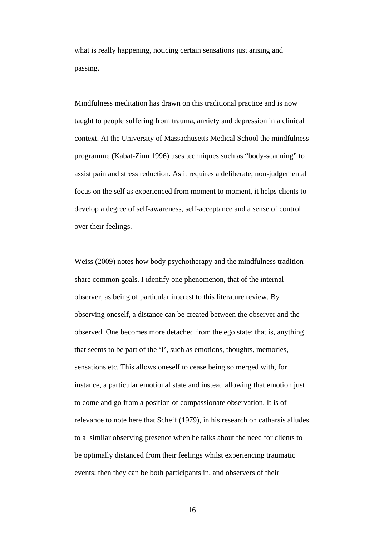what is really happening, noticing certain sensations just arising and passing.

Mindfulness meditation has drawn on this traditional practice and is now taught to people suffering from trauma, anxiety and depression in a clinical context. At the University of Massachusetts Medical School the mindfulness programme (Kabat-Zinn 1996) uses techniques such as "body-scanning" to assist pain and stress reduction. As it requires a deliberate, non-judgemental focus on the self as experienced from moment to moment, it helps clients to develop a degree of self-awareness, self-acceptance and a sense of control over their feelings.

Weiss (2009) notes how body psychotherapy and the mindfulness tradition share common goals. I identify one phenomenon, that of the internal observer, as being of particular interest to this literature review. By observing oneself, a distance can be created between the observer and the observed. One becomes more detached from the ego state; that is, anything that seems to be part of the 'I', such as emotions, thoughts, memories, sensations etc. This allows oneself to cease being so merged with, for instance, a particular emotional state and instead allowing that emotion just to come and go from a position of compassionate observation. It is of relevance to note here that Scheff (1979), in his research on catharsis alludes to a similar observing presence when he talks about the need for clients to be optimally distanced from their feelings whilst experiencing traumatic events; then they can be both participants in, and observers of their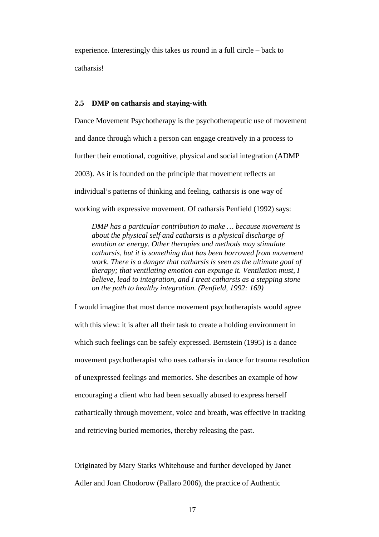experience. Interestingly this takes us round in a full circle – back to catharsis!

## **2.5 DMP on catharsis and staying-with**

Dance Movement Psychotherapy is the psychotherapeutic use of movement and dance through which a person can engage creatively in a process to further their emotional, cognitive, physical and social integration (ADMP 2003). As it is founded on the principle that movement reflects an individual's patterns of thinking and feeling, catharsis is one way of working with expressive movement. Of catharsis Penfield (1992) says:

*DMP has a particular contribution to make … because movement is about the physical self and catharsis is a physical discharge of emotion or energy. Other therapies and methods may stimulate catharsis, but it is something that has been borrowed from movement work. There is a danger that catharsis is seen as the ultimate goal of therapy; that ventilating emotion can expunge it. Ventilation must, I believe, lead to integration, and I treat catharsis as a stepping stone on the path to healthy integration. (Penfield, 1992: 169)* 

I would imagine that most dance movement psychotherapists would agree with this view: it is after all their task to create a holding environment in which such feelings can be safely expressed. Bernstein (1995) is a dance movement psychotherapist who uses catharsis in dance for trauma resolution of unexpressed feelings and memories. She describes an example of how encouraging a client who had been sexually abused to express herself cathartically through movement, voice and breath, was effective in tracking and retrieving buried memories, thereby releasing the past.

Originated by Mary Starks Whitehouse and further developed by Janet Adler and Joan Chodorow (Pallaro 2006), the practice of Authentic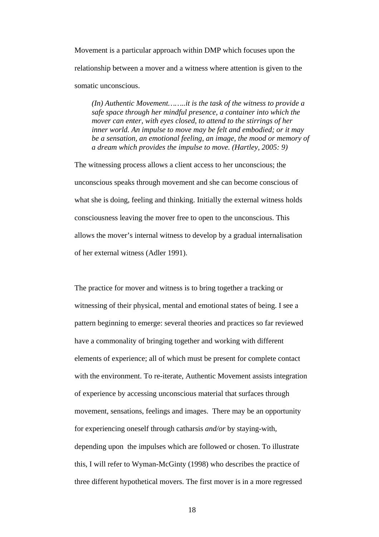Movement is a particular approach within DMP which focuses upon the relationship between a mover and a witness where attention is given to the somatic unconscious.

*(In) Authentic Movement……..it is the task of the witness to provide a safe space through her mindful presence, a container into which the mover can enter, with eyes closed, to attend to the stirrings of her inner world. An impulse to move may be felt and embodied; or it may be a sensation, an emotional feeling, an image, the mood or memory of a dream which provides the impulse to move. (Hartley, 2005: 9)* 

The witnessing process allows a client access to her unconscious; the unconscious speaks through movement and she can become conscious of what she is doing, feeling and thinking. Initially the external witness holds consciousness leaving the mover free to open to the unconscious. This allows the mover's internal witness to develop by a gradual internalisation of her external witness (Adler 1991).

The practice for mover and witness is to bring together a tracking or witnessing of their physical, mental and emotional states of being. I see a pattern beginning to emerge: several theories and practices so far reviewed have a commonality of bringing together and working with different elements of experience; all of which must be present for complete contact with the environment. To re-iterate, Authentic Movement assists integration of experience by accessing unconscious material that surfaces through movement, sensations, feelings and images. There may be an opportunity for experiencing oneself through catharsis *and/or* by staying-with, depending upon the impulses which are followed or chosen. To illustrate this, I will refer to Wyman-McGinty (1998) who describes the practice of three different hypothetical movers. The first mover is in a more regressed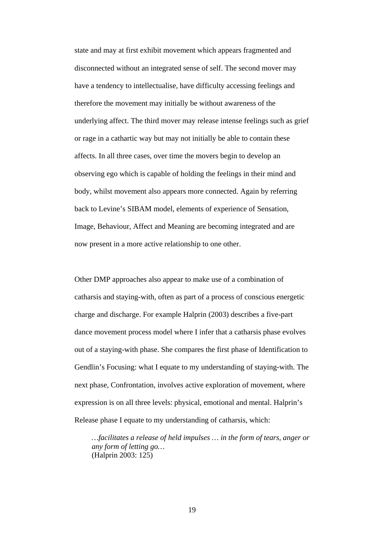state and may at first exhibit movement which appears fragmented and disconnected without an integrated sense of self. The second mover may have a tendency to intellectualise, have difficulty accessing feelings and therefore the movement may initially be without awareness of the underlying affect. The third mover may release intense feelings such as grief or rage in a cathartic way but may not initially be able to contain these affects. In all three cases, over time the movers begin to develop an observing ego which is capable of holding the feelings in their mind and body, whilst movement also appears more connected. Again by referring back to Levine's SIBAM model, elements of experience of Sensation, Image, Behaviour, Affect and Meaning are becoming integrated and are now present in a more active relationship to one other.

Other DMP approaches also appear to make use of a combination of catharsis and staying-with, often as part of a process of conscious energetic charge and discharge. For example Halprin (2003) describes a five-part dance movement process model where I infer that a catharsis phase evolves out of a staying-with phase. She compares the first phase of Identification to Gendlin's Focusing: what I equate to my understanding of staying-with. The next phase, Confrontation, involves active exploration of movement, where expression is on all three levels: physical, emotional and mental. Halprin's Release phase I equate to my understanding of catharsis, which:

*…facilitates a release of held impulses … in the form of tears, anger or any form of letting go…*  (Halprin 2003: 125)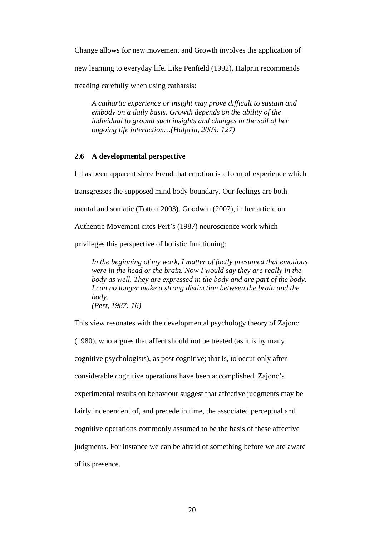Change allows for new movement and Growth involves the application of new learning to everyday life. Like Penfield (1992), Halprin recommends treading carefully when using catharsis:

*A cathartic experience or insight may prove difficult to sustain and embody on a daily basis. Growth depends on the ability of the individual to ground such insights and changes in the soil of her ongoing life interaction…(Halprin, 2003: 127)*

## **2.6 A developmental perspective**

It has been apparent since Freud that emotion is a form of experience which transgresses the supposed mind body boundary. Our feelings are both mental and somatic (Totton 2003). Goodwin (2007), in her article on Authentic Movement cites Pert's (1987) neuroscience work which privileges this perspective of holistic functioning:

*In the beginning of my work, I matter of factly presumed that emotions were in the head or the brain. Now I would say they are really in the body as well. They are expressed in the body and are part of the body. I can no longer make a strong distinction between the brain and the body. (Pert, 1987: 16)* 

This view resonates with the developmental psychology theory of Zajonc (1980), who argues that affect should not be treated (as it is by many cognitive psychologists), as post cognitive; that is, to occur only after considerable cognitive operations have been accomplished. Zajonc's experimental results on behaviour suggest that affective judgments may be fairly independent of, and precede in time, the associated perceptual and cognitive operations commonly assumed to be the basis of these affective judgments. For instance we can be afraid of something before we are aware of its presence.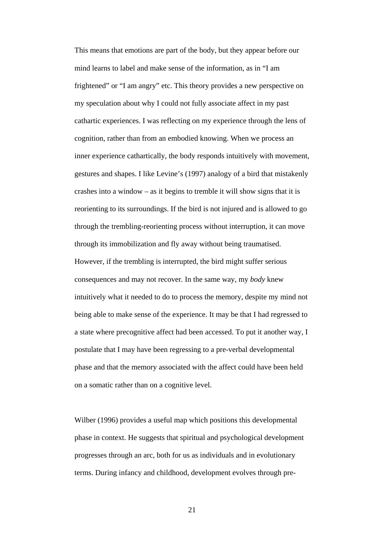This means that emotions are part of the body, but they appear before our mind learns to label and make sense of the information, as in "I am frightened" or "I am angry" etc. This theory provides a new perspective on my speculation about why I could not fully associate affect in my past cathartic experiences. I was reflecting on my experience through the lens of cognition, rather than from an embodied knowing. When we process an inner experience cathartically, the body responds intuitively with movement, gestures and shapes. I like Levine's (1997) analogy of a bird that mistakenly crashes into a window – as it begins to tremble it will show signs that it is reorienting to its surroundings. If the bird is not injured and is allowed to go through the trembling-reorienting process without interruption, it can move through its immobilization and fly away without being traumatised. However, if the trembling is interrupted, the bird might suffer serious consequences and may not recover. In the same way, my *body* knew intuitively what it needed to do to process the memory, despite my mind not being able to make sense of the experience. It may be that I had regressed to a state where precognitive affect had been accessed. To put it another way, I postulate that I may have been regressing to a pre-verbal developmental phase and that the memory associated with the affect could have been held on a somatic rather than on a cognitive level.

Wilber (1996) provides a useful map which positions this developmental phase in context. He suggests that spiritual and psychological development progresses through an arc, both for us as individuals and in evolutionary terms. During infancy and childhood, development evolves through pre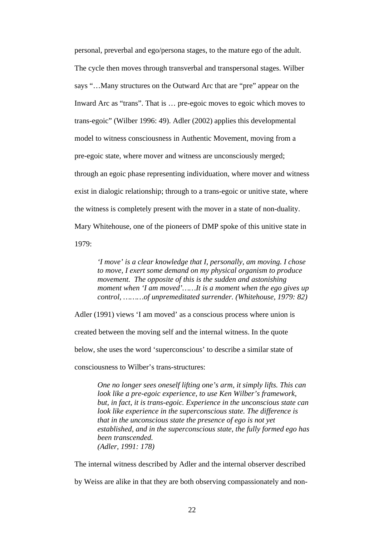personal, preverbal and ego/persona stages, to the mature ego of the adult. The cycle then moves through transverbal and transpersonal stages. Wilber says "…Many structures on the Outward Arc that are "pre" appear on the Inward Arc as "trans". That is … pre-egoic moves to egoic which moves to trans-egoic" (Wilber 1996: 49). Adler (2002) applies this developmental model to witness consciousness in Authentic Movement, moving from a pre-egoic state, where mover and witness are unconsciously merged; through an egoic phase representing individuation, where mover and witness exist in dialogic relationship; through to a trans-egoic or unitive state, where the witness is completely present with the mover in a state of non-duality. Mary Whitehouse, one of the pioneers of DMP spoke of this unitive state in 1979:

*'I move' is a clear knowledge that I, personally, am moving. I chose to move, I exert some demand on my physical organism to produce movement. The opposite of this is the sudden and astonishing moment when 'I am moved'……It is a moment when the ego gives up control, ………of unpremeditated surrender. (Whitehouse, 1979: 82)* 

Adler (1991) views 'I am moved' as a conscious process where union is

created between the moving self and the internal witness. In the quote

below, she uses the word 'superconscious' to describe a similar state of

consciousness to Wilber's trans-structures:

*One no longer sees oneself lifting one's arm, it simply lifts. This can look like a pre-egoic experience, to use Ken Wilber's framework, but, in fact, it is trans-egoic. Experience in the unconscious state can look like experience in the superconscious state. The difference is that in the unconscious state the presence of ego is not yet established, and in the superconscious state, the fully formed ego has been transcended. (Adler, 1991: 178)* 

The internal witness described by Adler and the internal observer described by Weiss are alike in that they are both observing compassionately and non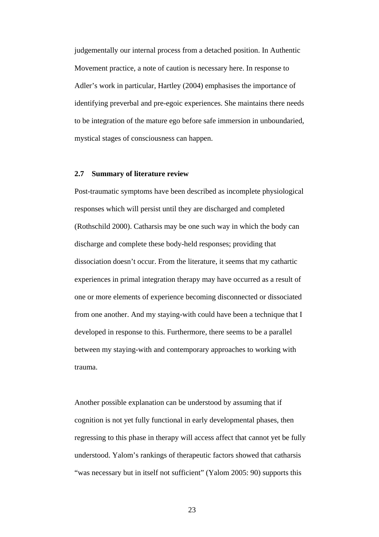judgementally our internal process from a detached position. In Authentic Movement practice, a note of caution is necessary here. In response to Adler's work in particular, Hartley (2004) emphasises the importance of identifying preverbal and pre-egoic experiences. She maintains there needs to be integration of the mature ego before safe immersion in unboundaried, mystical stages of consciousness can happen.

### **2.7 Summary of literature review**

Post-traumatic symptoms have been described as incomplete physiological responses which will persist until they are discharged and completed (Rothschild 2000). Catharsis may be one such way in which the body can discharge and complete these body-held responses; providing that dissociation doesn't occur. From the literature, it seems that my cathartic experiences in primal integration therapy may have occurred as a result of one or more elements of experience becoming disconnected or dissociated from one another. And my staying-with could have been a technique that I developed in response to this. Furthermore, there seems to be a parallel between my staying-with and contemporary approaches to working with trauma.

Another possible explanation can be understood by assuming that if cognition is not yet fully functional in early developmental phases, then regressing to this phase in therapy will access affect that cannot yet be fully understood. Yalom's rankings of therapeutic factors showed that catharsis "was necessary but in itself not sufficient" (Yalom 2005: 90) supports this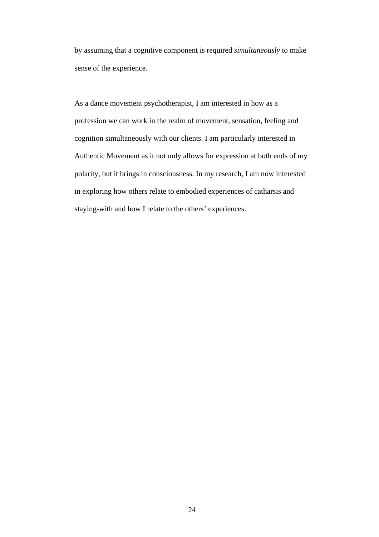by assuming that a cognitive component is required *simultaneously* to make sense of the experience.

As a dance movement psychotherapist, I am interested in how as a profession we can work in the realm of movement, sensation, feeling and cognition simultaneously with our clients. I am particularly interested in Authentic Movement as it not only allows for expression at both ends of my polarity, but it brings in consciousness. In my research, I am now interested in exploring how others relate to embodied experiences of catharsis and staying-with and how I relate to the others' experiences.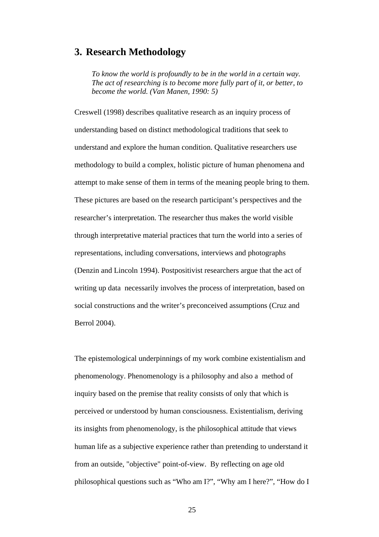# **3. Research Methodology**

*To know the world is profoundly to be in the world in a certain way. The act of researching is to become more fully part of it, or better, to become the world. (Van Manen, 1990: 5)*

Creswell (1998) describes qualitative research as an inquiry process of understanding based on distinct methodological traditions that seek to understand and explore the human condition. Qualitative researchers use methodology to build a complex, holistic picture of human phenomena and attempt to make sense of them in terms of the meaning people bring to them. These pictures are based on the research participant's perspectives and the researcher's interpretation. The researcher thus makes the world visible through interpretative material practices that turn the world into a series of representations, including conversations, interviews and photographs (Denzin and Lincoln 1994). Postpositivist researchers argue that the act of writing up data necessarily involves the process of interpretation, based on social constructions and the writer's preconceived assumptions (Cruz and Berrol 2004).

The epistemological underpinnings of my work combine existentialism and phenomenology. Phenomenology is a philosophy and also a method of inquiry based on the premise that reality consists of only that which is perceived or understood by human consciousness. Existentialism, deriving its insights from phenomenology, is the philosophical attitude that views human life as a subjective experience rather than pretending to understand it from an outside, "objective" point-of-view. By reflecting on age old philosophical questions such as "Who am I?", "Why am I here?", "How do I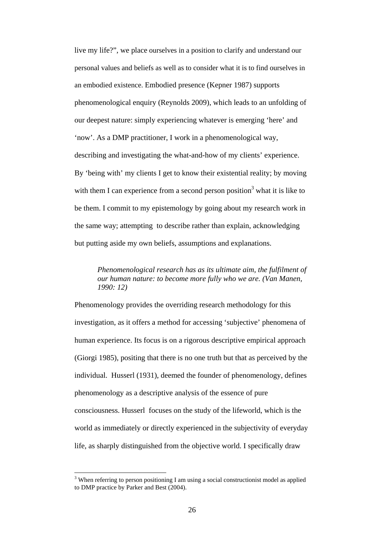live my life?", we place ourselves in a position to clarify and understand our personal values and beliefs as well as to consider what it is to find ourselves in an embodied existence. Embodied presence (Kepner 1987) supports phenomenological enquiry (Reynolds 2009), which leads to an unfolding of our deepest nature: simply experiencing whatever is emerging 'here' and 'now'. As a DMP practitioner, I work in a phenomenological way, describing and investigating the what-and-how of my clients' experience. By 'being with' my clients I get to know their existential reality; by moving with them I can experience from a second person position<sup>3</sup> what it is like to be them. I commit to my epistemology by going about my research work in the same way; attempting to describe rather than explain, acknowledging but putting aside my own beliefs, assumptions and explanations.

*Phenomenological research has as its ultimate aim, the fulfilment of our human nature: to become more fully who we are. (Van Manen, 1990: 12)* 

Phenomenology provides the overriding research methodology for this investigation, as it offers a method for accessing 'subjective' phenomena of human experience. Its focus is on a rigorous descriptive empirical approach (Giorgi 1985), positing that there is no one truth but that as perceived by the individual. Husserl (1931), deemed the founder of phenomenology, defines phenomenology as a descriptive analysis of the essence of pure consciousness. Husserl focuses on the study of the lifeworld, which is the world as immediately or directly experienced in the subjectivity of everyday life, as sharply distinguished from the objective world. I specifically draw

 $\overline{a}$ 

 $3$  When referring to person positioning I am using a social constructionist model as applied to DMP practice by Parker and Best (2004).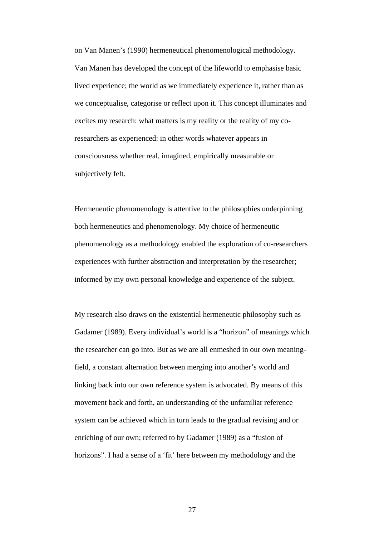on Van Manen's (1990) hermeneutical phenomenological methodology. Van Manen has developed the concept of the lifeworld to emphasise basic lived experience; the world as we immediately experience it, rather than as we conceptualise, categorise or reflect upon it. This concept illuminates and excites my research: what matters is my reality or the reality of my coresearchers as experienced: in other words whatever appears in consciousness whether real, imagined, empirically measurable or subjectively felt.

Hermeneutic phenomenology is attentive to the philosophies underpinning both hermeneutics and phenomenology. My choice of hermeneutic phenomenology as a methodology enabled the exploration of co-researchers experiences with further abstraction and interpretation by the researcher; informed by my own personal knowledge and experience of the subject.

My research also draws on the existential hermeneutic philosophy such as Gadamer (1989). Every individual's world is a "horizon" of meanings which the researcher can go into. But as we are all enmeshed in our own meaningfield, a constant alternation between merging into another's world and linking back into our own reference system is advocated. By means of this movement back and forth, an understanding of the unfamiliar reference system can be achieved which in turn leads to the gradual revising and or enriching of our own; referred to by Gadamer (1989) as a "fusion of horizons". I had a sense of a 'fit' here between my methodology and the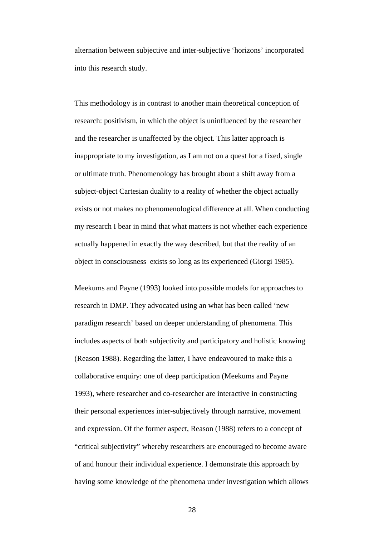alternation between subjective and inter-subjective 'horizons' incorporated into this research study.

This methodology is in contrast to another main theoretical conception of research: positivism, in which the object is uninfluenced by the researcher and the researcher is unaffected by the object. This latter approach is inappropriate to my investigation, as I am not on a quest for a fixed, single or ultimate truth. Phenomenology has brought about a shift away from a subject-object Cartesian duality to a reality of whether the object actually exists or not makes no phenomenological difference at all. When conducting my research I bear in mind that what matters is not whether each experience actually happened in exactly the way described, but that the reality of an object in consciousness exists so long as its experienced (Giorgi 1985).

Meekums and Payne (1993) looked into possible models for approaches to research in DMP. They advocated using an what has been called 'new paradigm research' based on deeper understanding of phenomena. This includes aspects of both subjectivity and participatory and holistic knowing (Reason 1988). Regarding the latter, I have endeavoured to make this a collaborative enquiry: one of deep participation (Meekums and Payne 1993), where researcher and co-researcher are interactive in constructing their personal experiences inter-subjectively through narrative, movement and expression. Of the former aspect, Reason (1988) refers to a concept of "critical subjectivity" whereby researchers are encouraged to become aware of and honour their individual experience. I demonstrate this approach by having some knowledge of the phenomena under investigation which allows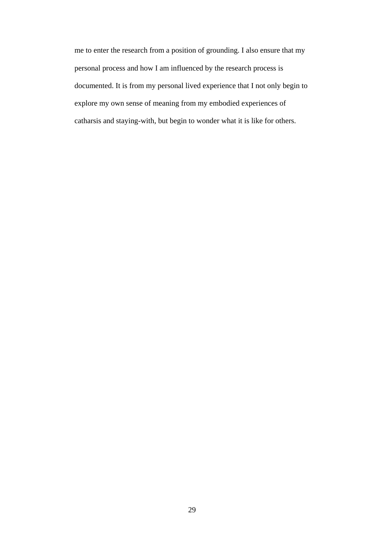me to enter the research from a position of grounding. I also ensure that my personal process and how I am influenced by the research process is documented. It is from my personal lived experience that I not only begin to explore my own sense of meaning from my embodied experiences of catharsis and staying-with, but begin to wonder what it is like for others.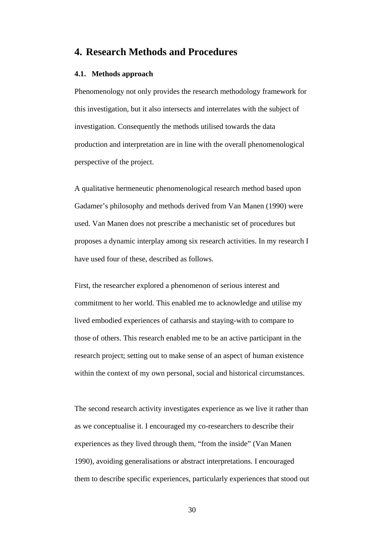# **4. Research Methods and Procedures**

# **4.1. Methods approach**

Phenomenology not only provides the research methodology framework for this investigation, but it also intersects and interrelates with the subject of investigation. Consequently the methods utilised towards the data production and interpretation are in line with the overall phenomenological perspective of the project.

A qualitative hermeneutic phenomenological research method based upon Gadamer's philosophy and methods derived from Van Manen (1990) were used. Van Manen does not prescribe a mechanistic set of procedures but proposes a dynamic interplay among six research activities. In my research I have used four of these, described as follows.

First, the researcher explored a phenomenon of serious interest and commitment to her world. This enabled me to acknowledge and utilise my lived embodied experiences of catharsis and staying-with to compare to those of others. This research enabled me to be an active participant in the research project; setting out to make sense of an aspect of human existence within the context of my own personal, social and historical circumstances.

The second research activity investigates experience as we live it rather than as we conceptualise it. I encouraged my co-researchers to describe their experiences as they lived through them, "from the inside" (Van Manen 1990), avoiding generalisations or abstract interpretations. I encouraged them to describe specific experiences, particularly experiences that stood out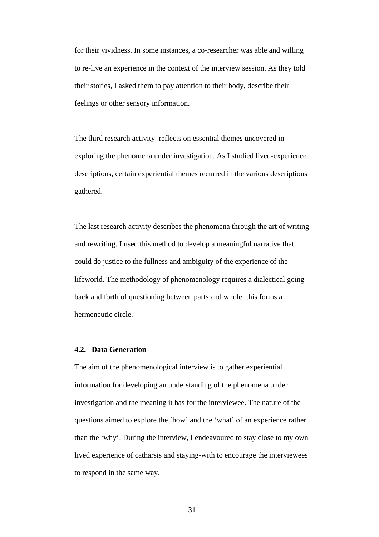for their vividness. In some instances, a co-researcher was able and willing to re-live an experience in the context of the interview session. As they told their stories, I asked them to pay attention to their body, describe their feelings or other sensory information.

The third research activity reflects on essential themes uncovered in exploring the phenomena under investigation. As I studied lived-experience descriptions, certain experiential themes recurred in the various descriptions gathered.

The last research activity describes the phenomena through the art of writing and rewriting. I used this method to develop a meaningful narrative that could do justice to the fullness and ambiguity of the experience of the lifeworld. The methodology of phenomenology requires a dialectical going back and forth of questioning between parts and whole: this forms a hermeneutic circle.

# **4.2. Data Generation**

The aim of the phenomenological interview is to gather experiential information for developing an understanding of the phenomena under investigation and the meaning it has for the interviewee. The nature of the questions aimed to explore the 'how' and the 'what' of an experience rather than the 'why'. During the interview, I endeavoured to stay close to my own lived experience of catharsis and staying-with to encourage the interviewees to respond in the same way.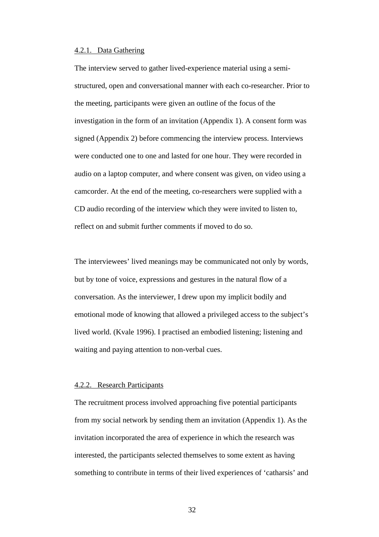## 4.2.1. Data Gathering

The interview served to gather lived-experience material using a semistructured, open and conversational manner with each co-researcher. Prior to the meeting, participants were given an outline of the focus of the investigation in the form of an invitation (Appendix 1). A consent form was signed (Appendix 2) before commencing the interview process. Interviews were conducted one to one and lasted for one hour. They were recorded in audio on a laptop computer, and where consent was given, on video using a camcorder. At the end of the meeting, co-researchers were supplied with a CD audio recording of the interview which they were invited to listen to, reflect on and submit further comments if moved to do so.

The interviewees' lived meanings may be communicated not only by words, but by tone of voice, expressions and gestures in the natural flow of a conversation. As the interviewer, I drew upon my implicit bodily and emotional mode of knowing that allowed a privileged access to the subject's lived world. (Kvale 1996). I practised an embodied listening; listening and waiting and paying attention to non-verbal cues.

#### 4.2.2. Research Participants

The recruitment process involved approaching five potential participants from my social network by sending them an invitation (Appendix 1). As the invitation incorporated the area of experience in which the research was interested, the participants selected themselves to some extent as having something to contribute in terms of their lived experiences of 'catharsis' and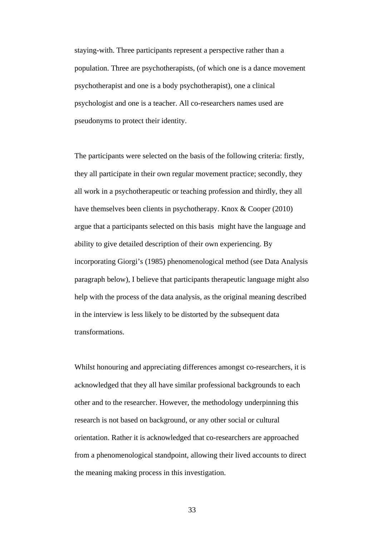staying-with. Three participants represent a perspective rather than a population. Three are psychotherapists, (of which one is a dance movement psychotherapist and one is a body psychotherapist), one a clinical psychologist and one is a teacher. All co-researchers names used are pseudonyms to protect their identity.

The participants were selected on the basis of the following criteria: firstly, they all participate in their own regular movement practice; secondly, they all work in a psychotherapeutic or teaching profession and thirdly, they all have themselves been clients in psychotherapy. Knox & Cooper (2010) argue that a participants selected on this basis might have the language and ability to give detailed description of their own experiencing. By incorporating Giorgi's (1985) phenomenological method (see Data Analysis paragraph below), I believe that participants therapeutic language might also help with the process of the data analysis, as the original meaning described in the interview is less likely to be distorted by the subsequent data transformations.

Whilst honouring and appreciating differences amongst co-researchers, it is acknowledged that they all have similar professional backgrounds to each other and to the researcher. However, the methodology underpinning this research is not based on background, or any other social or cultural orientation. Rather it is acknowledged that co-researchers are approached from a phenomenological standpoint, allowing their lived accounts to direct the meaning making process in this investigation.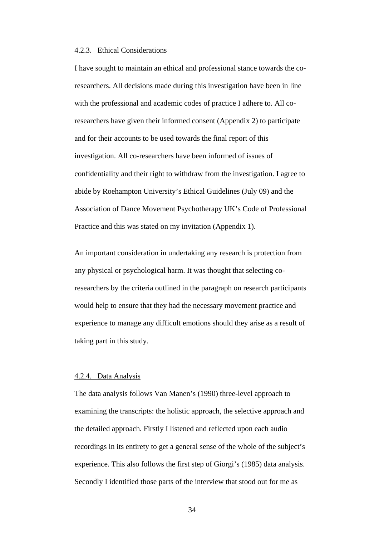#### 4.2.3. Ethical Considerations

I have sought to maintain an ethical and professional stance towards the coresearchers. All decisions made during this investigation have been in line with the professional and academic codes of practice I adhere to. All coresearchers have given their informed consent (Appendix 2) to participate and for their accounts to be used towards the final report of this investigation. All co-researchers have been informed of issues of confidentiality and their right to withdraw from the investigation. I agree to abide by Roehampton University's Ethical Guidelines (July 09) and the Association of Dance Movement Psychotherapy UK's Code of Professional Practice and this was stated on my invitation (Appendix 1).

An important consideration in undertaking any research is protection from any physical or psychological harm. It was thought that selecting coresearchers by the criteria outlined in the paragraph on research participants would help to ensure that they had the necessary movement practice and experience to manage any difficult emotions should they arise as a result of taking part in this study.

#### 4.2.4. Data Analysis

The data analysis follows Van Manen's (1990) three-level approach to examining the transcripts: the holistic approach, the selective approach and the detailed approach. Firstly I listened and reflected upon each audio recordings in its entirety to get a general sense of the whole of the subject's experience. This also follows the first step of Giorgi's (1985) data analysis. Secondly I identified those parts of the interview that stood out for me as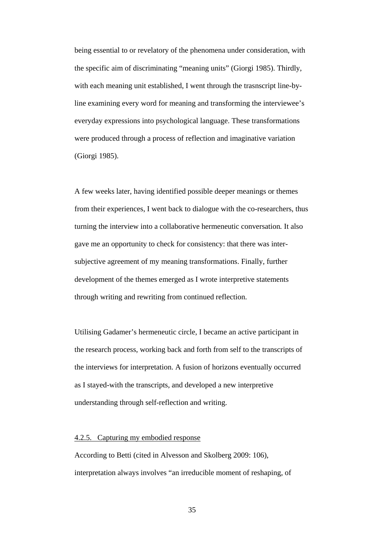being essential to or revelatory of the phenomena under consideration, with the specific aim of discriminating "meaning units" (Giorgi 1985). Thirdly, with each meaning unit established, I went through the trasnscript line-byline examining every word for meaning and transforming the interviewee's everyday expressions into psychological language. These transformations were produced through a process of reflection and imaginative variation (Giorgi 1985).

A few weeks later, having identified possible deeper meanings or themes from their experiences, I went back to dialogue with the co-researchers, thus turning the interview into a collaborative hermeneutic conversation*.* It also gave me an opportunity to check for consistency: that there was intersubjective agreement of my meaning transformations. Finally, further development of the themes emerged as I wrote interpretive statements through writing and rewriting from continued reflection.

Utilising Gadamer's hermeneutic circle, I became an active participant in the research process, working back and forth from self to the transcripts of the interviews for interpretation. A fusion of horizons eventually occurred as I stayed-with the transcripts, and developed a new interpretive understanding through self-reflection and writing.

#### 4.2.5. Capturing my embodied response

According to Betti (cited in Alvesson and Skolberg 2009: 106), interpretation always involves "an irreducible moment of reshaping, of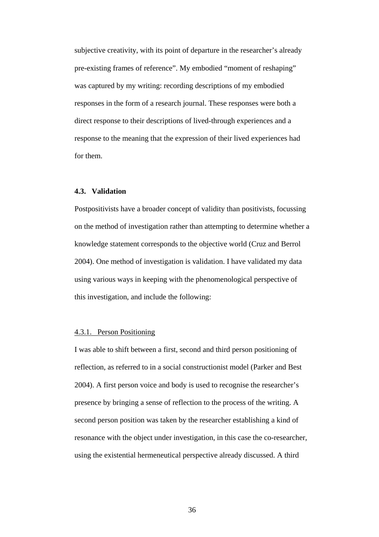subjective creativity, with its point of departure in the researcher's already pre-existing frames of reference". My embodied "moment of reshaping" was captured by my writing: recording descriptions of my embodied responses in the form of a research journal. These responses were both a direct response to their descriptions of lived-through experiences and a response to the meaning that the expression of their lived experiences had for them.

#### **4.3. Validation**

Postpositivists have a broader concept of validity than positivists, focussing on the method of investigation rather than attempting to determine whether a knowledge statement corresponds to the objective world (Cruz and Berrol 2004). One method of investigation is validation. I have validated my data using various ways in keeping with the phenomenological perspective of this investigation, and include the following:

#### 4.3.1. Person Positioning

I was able to shift between a first, second and third person positioning of reflection, as referred to in a social constructionist model (Parker and Best 2004). A first person voice and body is used to recognise the researcher's presence by bringing a sense of reflection to the process of the writing. A second person position was taken by the researcher establishing a kind of resonance with the object under investigation, in this case the co-researcher, using the existential hermeneutical perspective already discussed. A third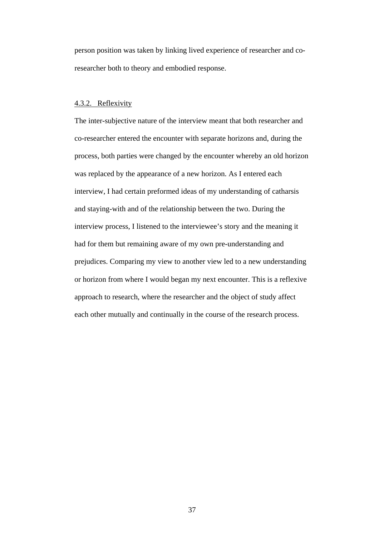person position was taken by linking lived experience of researcher and coresearcher both to theory and embodied response.

#### 4.3.2. Reflexivity

The inter-subjective nature of the interview meant that both researcher and co-researcher entered the encounter with separate horizons and, during the process, both parties were changed by the encounter whereby an old horizon was replaced by the appearance of a new horizon. As I entered each interview, I had certain preformed ideas of my understanding of catharsis and staying-with and of the relationship between the two. During the interview process, I listened to the interviewee's story and the meaning it had for them but remaining aware of my own pre-understanding and prejudices. Comparing my view to another view led to a new understanding or horizon from where I would began my next encounter. This is a reflexive approach to research, where the researcher and the object of study affect each other mutually and continually in the course of the research process.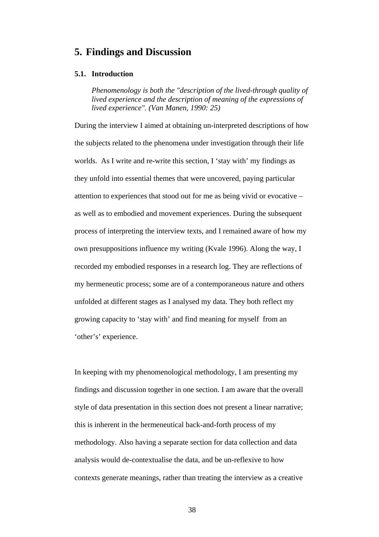## **5. Findings and Discussion**

#### **5.1. Introduction**

*Phenomenology is both the "description of the lived-through quality of lived experience and the description of meaning of the expressions of lived experience". (Van Manen, 1990: 25)* 

During the interview I aimed at obtaining un-interpreted descriptions of how the subjects related to the phenomena under investigation through their life worlds. As I write and re-write this section, I 'stay with' my findings as they unfold into essential themes that were uncovered, paying particular attention to experiences that stood out for me as being vivid or evocative – as well as to embodied and movement experiences. During the subsequent process of interpreting the interview texts, and I remained aware of how my own presuppositions influence my writing (Kvale 1996). Along the way, I recorded my embodied responses in a research log. They are reflections of my hermeneutic process; some are of a contemporaneous nature and others unfolded at different stages as I analysed my data. They both reflect my growing capacity to 'stay with' and find meaning for myself from an 'other's' experience.

In keeping with my phenomenological methodology, I am presenting my findings and discussion together in one section. I am aware that the overall style of data presentation in this section does not present a linear narrative; this is inherent in the hermeneutical back-and-forth process of my methodology. Also having a separate section for data collection and data analysis would de-contextualise the data, and be un-reflexive to how contexts generate meanings, rather than treating the interview as a creative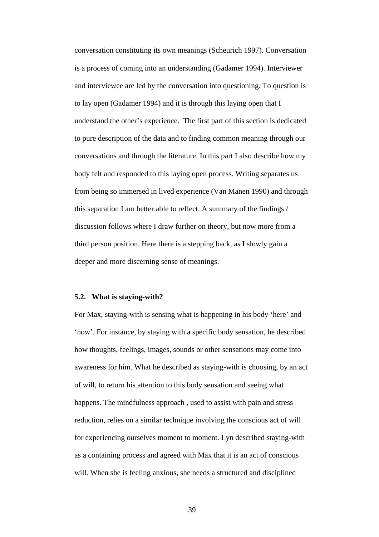conversation constituting its own meanings (Scheurich 1997). Conversation is a process of coming into an understanding (Gadamer 1994). Interviewer and interviewee are led by the conversation into questioning. To question is to lay open (Gadamer 1994) and it is through this laying open that I understand the other's experience. The first part of this section is dedicated to pure description of the data and to finding common meaning through our conversations and through the literature. In this part I also describe how my body felt and responded to this laying open process. Writing separates us from being so immersed in lived experience (Van Manen 1990) and through this separation I am better able to reflect. A summary of the findings / discussion follows where I draw further on theory, but now more from a third person position. Here there is a stepping back, as I slowly gain a deeper and more discerning sense of meanings.

#### **5.2. What is staying-with?**

For Max, staying-with is sensing what is happening in his body 'here' and 'now'. For instance, by staying with a specific body sensation, he described how thoughts, feelings, images, sounds or other sensations may come into awareness for him. What he described as staying-with is choosing, by an act of will, to return his attention to this body sensation and seeing what happens. The mindfulness approach , used to assist with pain and stress reduction, relies on a similar technique involving the conscious act of will for experiencing ourselves moment to moment. Lyn described staying-with as a containing process and agreed with Max that it is an act of conscious will. When she is feeling anxious, she needs a structured and disciplined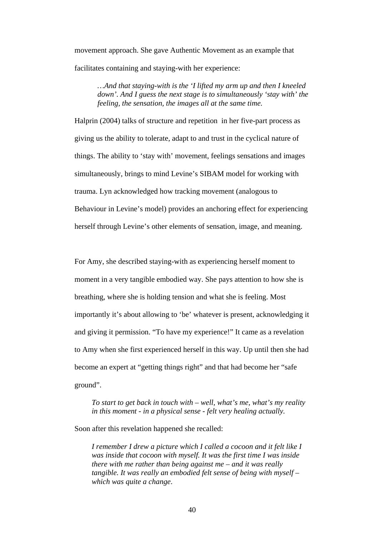movement approach. She gave Authentic Movement as an example that facilitates containing and staying-with her experience:

*…And that staying-with is the 'I lifted my arm up and then I kneeled down'. And I guess the next stage is to simultaneously 'stay with' the feeling, the sensation, the images all at the same time.* 

Halprin (2004) talks of structure and repetition in her five-part process as giving us the ability to tolerate, adapt to and trust in the cyclical nature of things. The ability to 'stay with' movement, feelings sensations and images simultaneously, brings to mind Levine's SIBAM model for working with trauma. Lyn acknowledged how tracking movement (analogous to Behaviour in Levine's model) provides an anchoring effect for experiencing herself through Levine's other elements of sensation, image, and meaning.

For Amy, she described staying-with as experiencing herself moment to moment in a very tangible embodied way. She pays attention to how she is breathing, where she is holding tension and what she is feeling. Most importantly it's about allowing to 'be' whatever is present, acknowledging it and giving it permission. "To have my experience!" It came as a revelation to Amy when she first experienced herself in this way. Up until then she had become an expert at "getting things right" and that had become her "safe ground".

*To start to get back in touch with – well, what's me, what's my reality in this moment - in a physical sense - felt very healing actually.* 

Soon after this revelation happened she recalled:

*I remember I drew a picture which I called a cocoon and it felt like I was inside that cocoon with myself. It was the first time I was inside there with me rather than being against me – and it was really tangible. It was really an embodied felt sense of being with myself – which was quite a change*.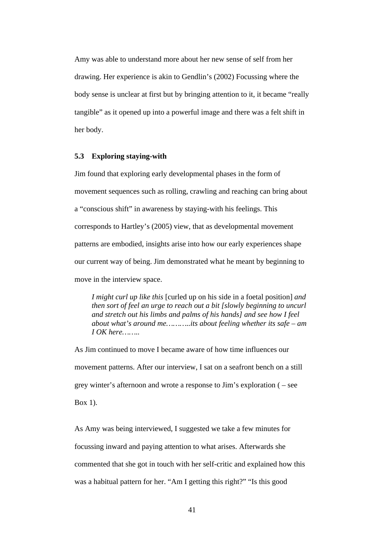Amy was able to understand more about her new sense of self from her drawing. Her experience is akin to Gendlin's (2002) Focussing where the body sense is unclear at first but by bringing attention to it, it became "really tangible" as it opened up into a powerful image and there was a felt shift in her body.

#### **5.3 Exploring staying-with**

Jim found that exploring early developmental phases in the form of movement sequences such as rolling, crawling and reaching can bring about a "conscious shift" in awareness by staying-with his feelings. This corresponds to Hartley's (2005) view, that as developmental movement patterns are embodied, insights arise into how our early experiences shape our current way of being. Jim demonstrated what he meant by beginning to move in the interview space.

*I might curl up like this* [curled up on his side in a foetal position] *and then sort of feel an urge to reach out a bit [slowly beginning to uncurl and stretch out his limbs and palms of his hands] and see how I feel about what's around me………..its about feeling whether its safe – am I OK here……..* 

As Jim continued to move I became aware of how time influences our movement patterns. After our interview, I sat on a seafront bench on a still grey winter's afternoon and wrote a response to Jim's exploration ( – see Box 1).

As Amy was being interviewed, I suggested we take a few minutes for focussing inward and paying attention to what arises. Afterwards she commented that she got in touch with her self-critic and explained how this was a habitual pattern for her. "Am I getting this right?" "Is this good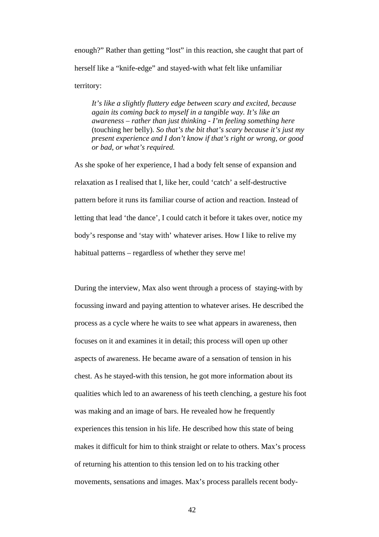enough?" Rather than getting "lost" in this reaction, she caught that part of herself like a "knife-edge" and stayed-with what felt like unfamiliar territory:

*It's like a slightly fluttery edge between scary and excited, because again its coming back to myself in a tangible way. It's like an awareness – rather than just thinking - I'm feeling something here* (touching her belly). *So that's the bit that's scary because it's just my present experience and I don't know if that's right or wrong, or good or bad, or what's required.* 

As she spoke of her experience, I had a body felt sense of expansion and relaxation as I realised that I, like her, could 'catch' a self-destructive pattern before it runs its familiar course of action and reaction. Instead of letting that lead 'the dance', I could catch it before it takes over, notice my body's response and 'stay with' whatever arises. How I like to relive my habitual patterns – regardless of whether they serve me!

During the interview, Max also went through a process of staying-with by focussing inward and paying attention to whatever arises. He described the process as a cycle where he waits to see what appears in awareness, then focuses on it and examines it in detail; this process will open up other aspects of awareness. He became aware of a sensation of tension in his chest. As he stayed-with this tension, he got more information about its qualities which led to an awareness of his teeth clenching, a gesture his foot was making and an image of bars. He revealed how he frequently experiences this tension in his life. He described how this state of being makes it difficult for him to think straight or relate to others. Max's process of returning his attention to this tension led on to his tracking other movements, sensations and images. Max's process parallels recent body-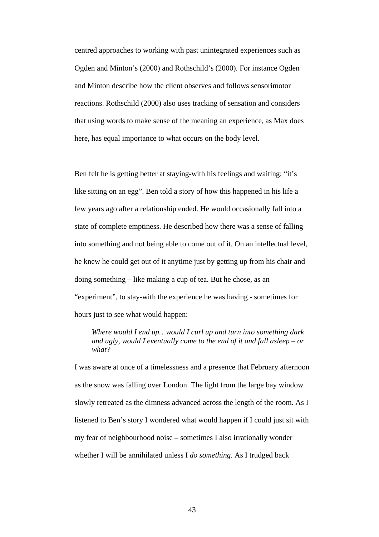centred approaches to working with past unintegrated experiences such as Ogden and Minton's (2000) and Rothschild's (2000). For instance Ogden and Minton describe how the client observes and follows sensorimotor reactions. Rothschild (2000) also uses tracking of sensation and considers that using words to make sense of the meaning an experience, as Max does here, has equal importance to what occurs on the body level.

Ben felt he is getting better at staying-with his feelings and waiting; "it's like sitting on an egg". Ben told a story of how this happened in his life a few years ago after a relationship ended. He would occasionally fall into a state of complete emptiness. He described how there was a sense of falling into something and not being able to come out of it. On an intellectual level, he knew he could get out of it anytime just by getting up from his chair and doing something – like making a cup of tea. But he chose, as an "experiment", to stay-with the experience he was having - sometimes for hours just to see what would happen:

*Where would I end up…would I curl up and turn into something dark and ugly, would I eventually come to the end of it and fall asleep – or what?* 

I was aware at once of a timelessness and a presence that February afternoon as the snow was falling over London. The light from the large bay window slowly retreated as the dimness advanced across the length of the room. As I listened to Ben's story I wondered what would happen if I could just sit with my fear of neighbourhood noise – sometimes I also irrationally wonder whether I will be annihilated unless I *do something*. As I trudged back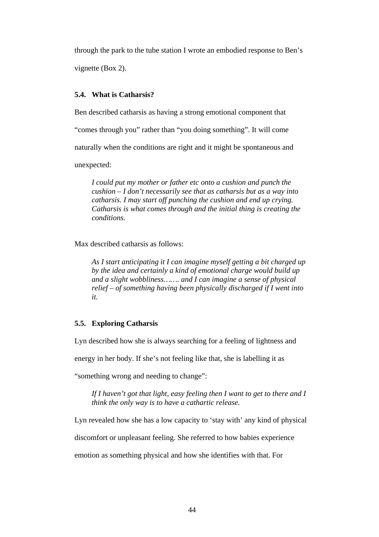through the park to the tube station I wrote an embodied response to Ben's

vignette (Box 2).

## **5.4. What is Catharsis?**

Ben described catharsis as having a strong emotional component that

"comes through you" rather than "you doing something". It will come

naturally when the conditions are right and it might be spontaneous and

unexpected:

*I could put my mother or father etc onto a cushion and punch the cushion – I don't necessarily see that as catharsis but as a way into catharsis. I may start off punching the cushion and end up crying. Catharsis is what comes through and the initial thing is creating the conditions.* 

Max described catharsis as follows:

*As I start anticipating it I can imagine myself getting a bit charged up by the idea and certainly a kind of emotional charge would build up and a slight wobbliness……. and I can imagine a sense of physical relief – of something having been physically discharged if I went into it.* 

## **5.5. Exploring Catharsis**

Lyn described how she is always searching for a feeling of lightness and

energy in her body. If she's not feeling like that, she is labelling it as

"something wrong and needing to change":

*If I haven't got that light, easy feeling then I want to get to there and I think the only way is to have a cathartic release.* 

Lyn revealed how she has a low capacity to 'stay with' any kind of physical

discomfort or unpleasant feeling. She referred to how babies experience

emotion as something physical and how she identifies with that. For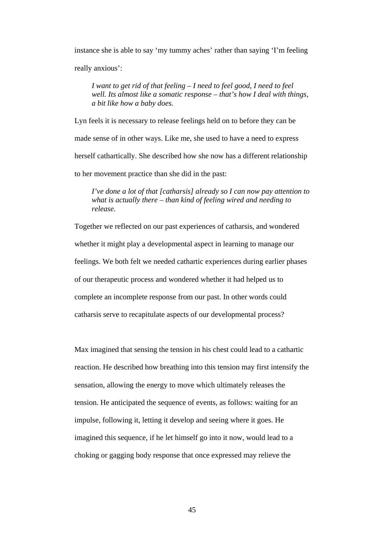instance she is able to say 'my tummy aches' rather than saying 'I'm feeling really anxious':

*I want to get rid of that feeling – I need to feel good, I need to feel well. Its almost like a somatic response – that's how I deal with things, a bit like how a baby does.* 

Lyn feels it is necessary to release feelings held on to before they can be made sense of in other ways. Like me, she used to have a need to express herself cathartically. She described how she now has a different relationship to her movement practice than she did in the past:

*I've done a lot of that [catharsis] already so I can now pay attention to what is actually there – than kind of feeling wired and needing to release.* 

Together we reflected on our past experiences of catharsis, and wondered whether it might play a developmental aspect in learning to manage our feelings. We both felt we needed cathartic experiences during earlier phases of our therapeutic process and wondered whether it had helped us to complete an incomplete response from our past. In other words could catharsis serve to recapitulate aspects of our developmental process?

Max imagined that sensing the tension in his chest could lead to a cathartic reaction. He described how breathing into this tension may first intensify the sensation, allowing the energy to move which ultimately releases the tension. He anticipated the sequence of events, as follows: waiting for an impulse, following it, letting it develop and seeing where it goes. He imagined this sequence, if he let himself go into it now, would lead to a choking or gagging body response that once expressed may relieve the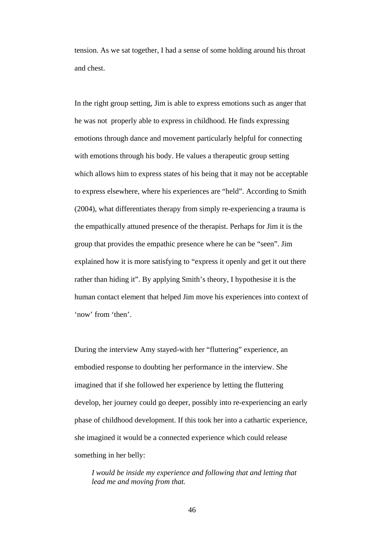tension. As we sat together, I had a sense of some holding around his throat and chest.

In the right group setting, Jim is able to express emotions such as anger that he was not properly able to express in childhood. He finds expressing emotions through dance and movement particularly helpful for connecting with emotions through his body. He values a therapeutic group setting which allows him to express states of his being that it may not be acceptable to express elsewhere, where his experiences are "held". According to Smith (2004), what differentiates therapy from simply re-experiencing a trauma is the empathically attuned presence of the therapist. Perhaps for Jim it is the group that provides the empathic presence where he can be "seen". Jim explained how it is more satisfying to "express it openly and get it out there rather than hiding it". By applying Smith's theory, I hypothesise it is the human contact element that helped Jim move his experiences into context of 'now' from 'then'.

During the interview Amy stayed-with her "fluttering" experience, an embodied response to doubting her performance in the interview. She imagined that if she followed her experience by letting the fluttering develop, her journey could go deeper, possibly into re-experiencing an early phase of childhood development. If this took her into a cathartic experience, she imagined it would be a connected experience which could release something in her belly:

*I would be inside my experience and following that and letting that lead me and moving from that.*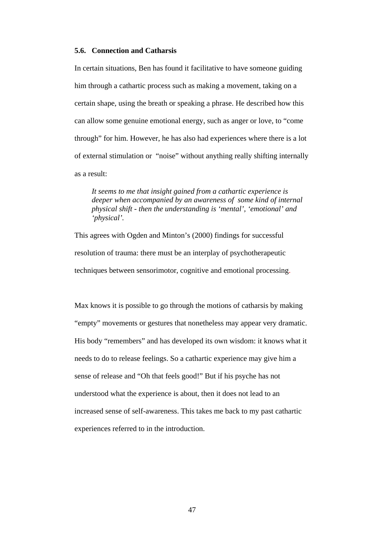#### **5.6. Connection and Catharsis**

In certain situations, Ben has found it facilitative to have someone guiding him through a cathartic process such as making a movement, taking on a certain shape, using the breath or speaking a phrase. He described how this can allow some genuine emotional energy, such as anger or love, to "come through" for him. However, he has also had experiences where there is a lot of external stimulation or "noise" without anything really shifting internally as a result:

*It seems to me that insight gained from a cathartic experience is deeper when accompanied by an awareness of some kind of internal physical shift - then the understanding is 'mental', 'emotional' and 'physical'.* 

This agrees with Ogden and Minton's (2000) findings for successful resolution of trauma: there must be an interplay of psychotherapeutic techniques between sensorimotor, cognitive and emotional processing.

Max knows it is possible to go through the motions of catharsis by making "empty" movements or gestures that nonetheless may appear very dramatic. His body "remembers" and has developed its own wisdom: it knows what it needs to do to release feelings. So a cathartic experience may give him a sense of release and "Oh that feels good!" But if his psyche has not understood what the experience is about, then it does not lead to an increased sense of self-awareness. This takes me back to my past cathartic experiences referred to in the introduction.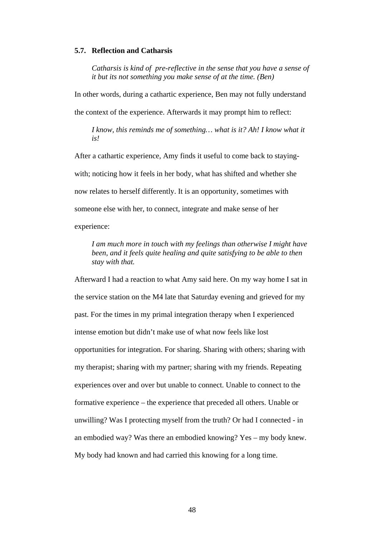#### **5.7. Reflection and Catharsis**

*Catharsis is kind of pre-reflective in the sense that you have a sense of it but its not something you make sense of at the time. (Ben)*

In other words, during a cathartic experience, Ben may not fully understand the context of the experience. Afterwards it may prompt him to reflect:

*I know, this reminds me of something… what is it? Ah! I know what it is!* 

After a cathartic experience, Amy finds it useful to come back to stayingwith; noticing how it feels in her body, what has shifted and whether she now relates to herself differently. It is an opportunity, sometimes with someone else with her, to connect, integrate and make sense of her experience:

*I am much more in touch with my feelings than otherwise I might have been, and it feels quite healing and quite satisfying to be able to then stay with that.* 

Afterward I had a reaction to what Amy said here. On my way home I sat in the service station on the M4 late that Saturday evening and grieved for my past. For the times in my primal integration therapy when I experienced intense emotion but didn't make use of what now feels like lost opportunities for integration. For sharing. Sharing with others; sharing with my therapist; sharing with my partner; sharing with my friends. Repeating experiences over and over but unable to connect. Unable to connect to the formative experience – the experience that preceded all others. Unable or unwilling? Was I protecting myself from the truth? Or had I connected - in an embodied way? Was there an embodied knowing? Yes – my body knew. My body had known and had carried this knowing for a long time.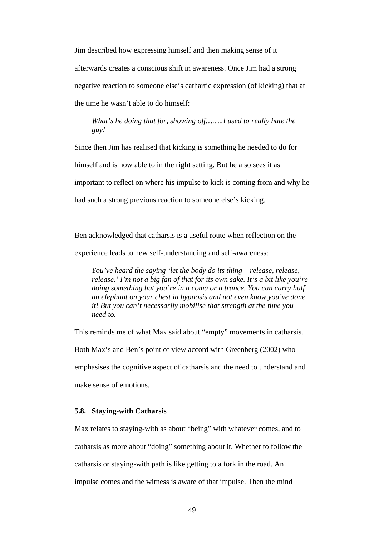Jim described how expressing himself and then making sense of it afterwards creates a conscious shift in awareness. Once Jim had a strong negative reaction to someone else's cathartic expression (of kicking) that at the time he wasn't able to do himself:

*What's he doing that for, showing off……..I used to really hate the guy!* 

Since then Jim has realised that kicking is something he needed to do for himself and is now able to in the right setting. But he also sees it as important to reflect on where his impulse to kick is coming from and why he had such a strong previous reaction to someone else's kicking.

Ben acknowledged that catharsis is a useful route when reflection on the experience leads to new self-understanding and self-awareness:

*You've heard the saying 'let the body do its thing – release, release, release.' I'm not a big fan of that for its own sake. It's a bit like you're doing something but you're in a coma or a trance. You can carry half an elephant on your chest in hypnosis and not even know you've done it! But you can't necessarily mobilise that strength at the time you need to.* 

This reminds me of what Max said about "empty" movements in catharsis. Both Max's and Ben's point of view accord with Greenberg (2002) who emphasises the cognitive aspect of catharsis and the need to understand and make sense of emotions.

#### **5.8. Staying-with Catharsis**

Max relates to staying-with as about "being" with whatever comes, and to catharsis as more about "doing" something about it. Whether to follow the catharsis or staying-with path is like getting to a fork in the road. An impulse comes and the witness is aware of that impulse. Then the mind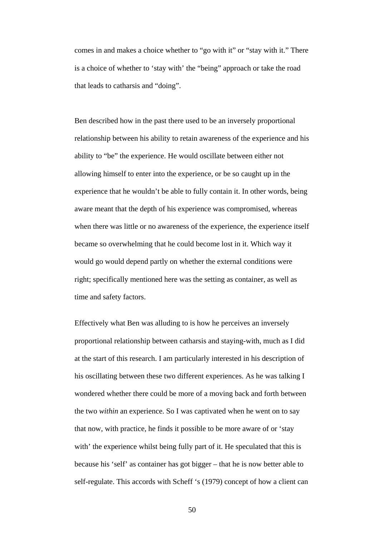comes in and makes a choice whether to "go with it" or "stay with it." There is a choice of whether to 'stay with' the "being" approach or take the road that leads to catharsis and "doing".

Ben described how in the past there used to be an inversely proportional relationship between his ability to retain awareness of the experience and his ability to "be" the experience. He would oscillate between either not allowing himself to enter into the experience, or be so caught up in the experience that he wouldn't be able to fully contain it. In other words, being aware meant that the depth of his experience was compromised, whereas when there was little or no awareness of the experience, the experience itself became so overwhelming that he could become lost in it. Which way it would go would depend partly on whether the external conditions were right; specifically mentioned here was the setting as container, as well as time and safety factors.

Effectively what Ben was alluding to is how he perceives an inversely proportional relationship between catharsis and staying-with, much as I did at the start of this research. I am particularly interested in his description of his oscillating between these two different experiences. As he was talking I wondered whether there could be more of a moving back and forth between the two *within* an experience. So I was captivated when he went on to say that now, with practice, he finds it possible to be more aware of or 'stay with' the experience whilst being fully part of it. He speculated that this is because his 'self' as container has got bigger – that he is now better able to self-regulate. This accords with Scheff 's (1979) concept of how a client can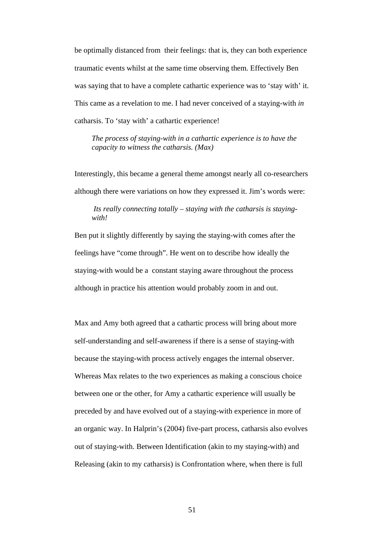be optimally distanced from their feelings: that is, they can both experience traumatic events whilst at the same time observing them. Effectively Ben was saying that to have a complete cathartic experience was to 'stay with' it. This came as a revelation to me. I had never conceived of a staying-with *in*  catharsis. To 'stay with' a cathartic experience!

*The process of staying-with in a cathartic experience is to have the capacity to witness the catharsis. (Max)* 

Interestingly, this became a general theme amongst nearly all co-researchers although there were variations on how they expressed it. Jim's words were:

*Its really connecting totally – staying with the catharsis is stayingwith!* 

Ben put it slightly differently by saying the staying-with comes after the feelings have "come through". He went on to describe how ideally the staying-with would be a constant staying aware throughout the process although in practice his attention would probably zoom in and out.

Max and Amy both agreed that a cathartic process will bring about more self-understanding and self-awareness if there is a sense of staying-with because the staying-with process actively engages the internal observer. Whereas Max relates to the two experiences as making a conscious choice between one or the other, for Amy a cathartic experience will usually be preceded by and have evolved out of a staying-with experience in more of an organic way. In Halprin's (2004) five-part process, catharsis also evolves out of staying-with. Between Identification (akin to my staying-with) and Releasing (akin to my catharsis) is Confrontation where, when there is full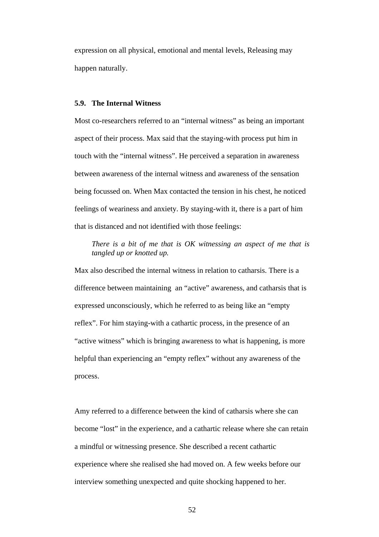expression on all physical, emotional and mental levels, Releasing may happen naturally.

#### **5.9. The Internal Witness**

Most co-researchers referred to an "internal witness" as being an important aspect of their process. Max said that the staying-with process put him in touch with the "internal witness". He perceived a separation in awareness between awareness of the internal witness and awareness of the sensation being focussed on. When Max contacted the tension in his chest, he noticed feelings of weariness and anxiety. By staying-with it, there is a part of him that is distanced and not identified with those feelings:

*There is a bit of me that is OK witnessing an aspect of me that is tangled up or knotted up.* 

Max also described the internal witness in relation to catharsis. There is a difference between maintaining an "active" awareness, and catharsis that is expressed unconsciously, which he referred to as being like an "empty reflex". For him staying-with a cathartic process, in the presence of an "active witness" which is bringing awareness to what is happening, is more helpful than experiencing an "empty reflex" without any awareness of the process.

Amy referred to a difference between the kind of catharsis where she can become "lost" in the experience, and a cathartic release where she can retain a mindful or witnessing presence. She described a recent cathartic experience where she realised she had moved on. A few weeks before our interview something unexpected and quite shocking happened to her.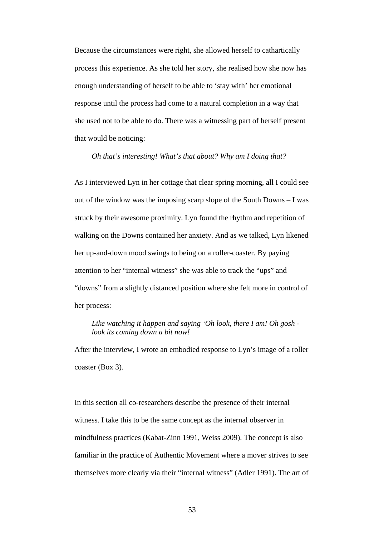Because the circumstances were right, she allowed herself to cathartically process this experience. As she told her story, she realised how she now has enough understanding of herself to be able to 'stay with' her emotional response until the process had come to a natural completion in a way that she used not to be able to do. There was a witnessing part of herself present that would be noticing:

*Oh that's interesting! What's that about? Why am I doing that?* 

As I interviewed Lyn in her cottage that clear spring morning, all I could see out of the window was the imposing scarp slope of the South Downs – I was struck by their awesome proximity. Lyn found the rhythm and repetition of walking on the Downs contained her anxiety. And as we talked, Lyn likened her up-and-down mood swings to being on a roller-coaster. By paying attention to her "internal witness" she was able to track the "ups" and "downs" from a slightly distanced position where she felt more in control of her process:

*Like watching it happen and saying 'Oh look, there I am! Oh gosh look its coming down a bit now!*

After the interview, I wrote an embodied response to Lyn's image of a roller coaster (Box 3).

In this section all co-researchers describe the presence of their internal witness. I take this to be the same concept as the internal observer in mindfulness practices (Kabat-Zinn 1991, Weiss 2009). The concept is also familiar in the practice of Authentic Movement where a mover strives to see themselves more clearly via their "internal witness" (Adler 1991). The art of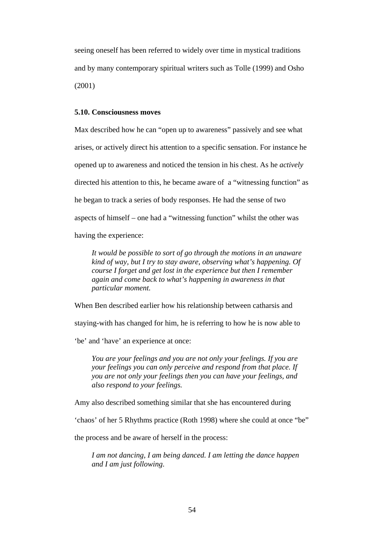seeing oneself has been referred to widely over time in mystical traditions and by many contemporary spiritual writers such as Tolle (1999) and Osho (2001)

#### **5.10. Consciousness moves**

Max described how he can "open up to awareness" passively and see what arises, or actively direct his attention to a specific sensation. For instance he opened up to awareness and noticed the tension in his chest. As he *actively* directed his attention to this, he became aware of a "witnessing function" as he began to track a series of body responses. He had the sense of two aspects of himself – one had a "witnessing function" whilst the other was having the experience:

*It would be possible to sort of go through the motions in an unaware kind of way, but I try to stay aware, observing what's happening. Of course I forget and get lost in the experience but then I remember again and come back to what's happening in awareness in that particular moment.* 

When Ben described earlier how his relationship between catharsis and

staying-with has changed for him, he is referring to how he is now able to

'be' and 'have' an experience at once:

*You are your feelings and you are not only your feelings. If you are your feelings you can only perceive and respond from that place. If you are not only your feelings then you can have your feelings, and also respond to your feelings.* 

Amy also described something similar that she has encountered during

'chaos' of her 5 Rhythms practice (Roth 1998) where she could at once "be"

the process and be aware of herself in the process:

*I am not dancing, I am being danced. I am letting the dance happen and I am just following*.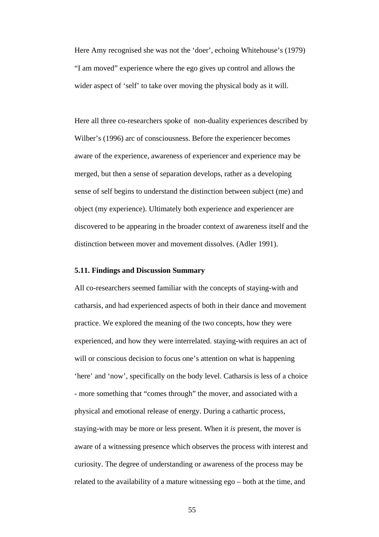Here Amy recognised she was not the 'doer', echoing Whitehouse's (1979) "I am moved" experience where the ego gives up control and allows the wider aspect of 'self' to take over moving the physical body as it will.

Here all three co-researchers spoke of non-duality experiences described by Wilber's (1996) arc of consciousness. Before the experiencer becomes aware of the experience, awareness of experiencer and experience may be merged, but then a sense of separation develops, rather as a developing sense of self begins to understand the distinction between subject (me) and object (my experience). Ultimately both experience and experiencer are discovered to be appearing in the broader context of awareness itself and the distinction between mover and movement dissolves. (Adler 1991).

#### **5.11. Findings and Discussion Summary**

All co-researchers seemed familiar with the concepts of staying-with and catharsis, and had experienced aspects of both in their dance and movement practice. We explored the meaning of the two concepts, how they were experienced, and how they were interrelated. staying-with requires an act of will or conscious decision to focus one's attention on what is happening 'here' and 'now', specifically on the body level. Catharsis is less of a choice - more something that "comes through" the mover, and associated with a physical and emotional release of energy. During a cathartic process, staying-with may be more or less present. When it *is* present, the mover is aware of a witnessing presence which observes the process with interest and curiosity. The degree of understanding or awareness of the process may be related to the availability of a mature witnessing ego – both at the time, and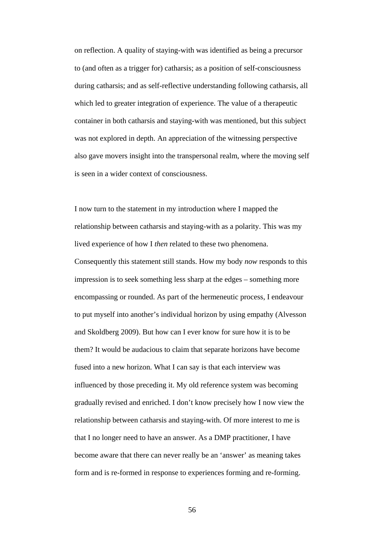on reflection. A quality of staying-with was identified as being a precursor to (and often as a trigger for) catharsis; as a position of self-consciousness during catharsis; and as self-reflective understanding following catharsis, all which led to greater integration of experience. The value of a therapeutic container in both catharsis and staying-with was mentioned, but this subject was not explored in depth. An appreciation of the witnessing perspective also gave movers insight into the transpersonal realm, where the moving self is seen in a wider context of consciousness.

I now turn to the statement in my introduction where I mapped the relationship between catharsis and staying-with as a polarity. This was my lived experience of how I *then* related to these two phenomena. Consequently this statement still stands. How my body *now* responds to this impression is to seek something less sharp at the edges – something more encompassing or rounded. As part of the hermeneutic process, I endeavour to put myself into another's individual horizon by using empathy (Alvesson and Skoldberg 2009). But how can I ever know for sure how it is to be them? It would be audacious to claim that separate horizons have become fused into a new horizon. What I can say is that each interview was influenced by those preceding it. My old reference system was becoming gradually revised and enriched. I don't know precisely how I now view the relationship between catharsis and staying-with. Of more interest to me is that I no longer need to have an answer. As a DMP practitioner, I have become aware that there can never really be an 'answer' as meaning takes form and is re-formed in response to experiences forming and re-forming.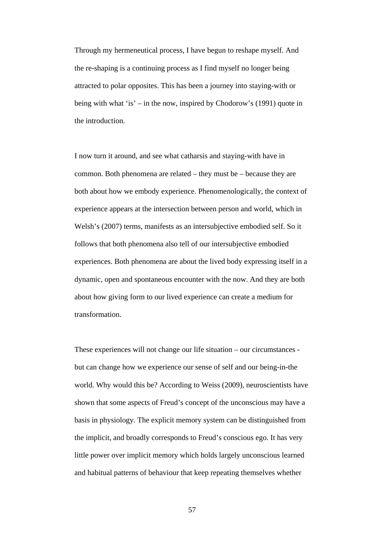Through my hermeneutical process, I have begun to reshape myself. And the re-shaping is a continuing process as I find myself no longer being attracted to polar opposites. This has been a journey into staying-with or being with what 'is' – in the now, inspired by Chodorow's (1991) quote in the introduction.

I now turn it around, and see what catharsis and staying-with have in common. Both phenomena are related – they must be – because they are both about how we embody experience. Phenomenologically, the context of experience appears at the intersection between person and world, which in Welsh's (2007) terms, manifests as an intersubjective embodied self. So it follows that both phenomena also tell of our intersubjective embodied experiences. Both phenomena are about the lived body expressing itself in a dynamic, open and spontaneous encounter with the now. And they are both about how giving form to our lived experience can create a medium for transformation.

These experiences will not change our life situation – our circumstances but can change how we experience our sense of self and our being-in-the world. Why would this be? According to Weiss (2009), neuroscientists have shown that some aspects of Freud's concept of the unconscious may have a basis in physiology. The explicit memory system can be distinguished from the implicit, and broadly corresponds to Freud's conscious ego. It has very little power over implicit memory which holds largely unconscious learned and habitual patterns of behaviour that keep repeating themselves whether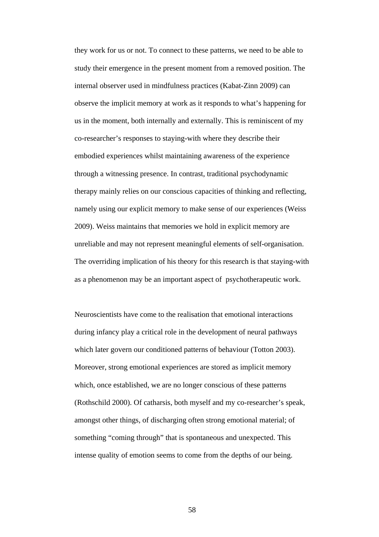they work for us or not. To connect to these patterns, we need to be able to study their emergence in the present moment from a removed position. The internal observer used in mindfulness practices (Kabat-Zinn 2009) can observe the implicit memory at work as it responds to what's happening for us in the moment, both internally and externally. This is reminiscent of my co-researcher's responses to staying-with where they describe their embodied experiences whilst maintaining awareness of the experience through a witnessing presence. In contrast, traditional psychodynamic therapy mainly relies on our conscious capacities of thinking and reflecting, namely using our explicit memory to make sense of our experiences (Weiss 2009). Weiss maintains that memories we hold in explicit memory are unreliable and may not represent meaningful elements of self-organisation. The overriding implication of his theory for this research is that staying-with as a phenomenon may be an important aspect of psychotherapeutic work.

Neuroscientists have come to the realisation that emotional interactions during infancy play a critical role in the development of neural pathways which later govern our conditioned patterns of behaviour (Totton 2003). Moreover, strong emotional experiences are stored as implicit memory which, once established, we are no longer conscious of these patterns (Rothschild 2000). Of catharsis, both myself and my co-researcher's speak, amongst other things, of discharging often strong emotional material; of something "coming through" that is spontaneous and unexpected. This intense quality of emotion seems to come from the depths of our being.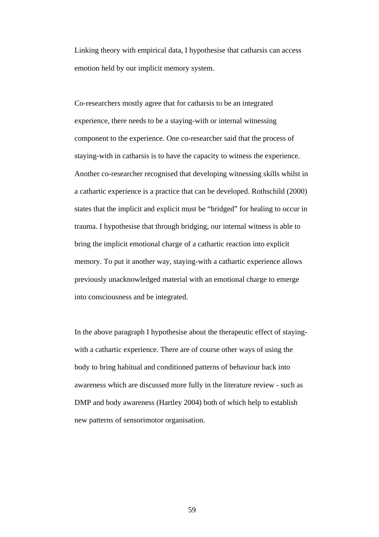Linking theory with empirical data, I hypothesise that catharsis can access emotion held by our implicit memory system.

Co-researchers mostly agree that for catharsis to be an integrated experience, there needs to be a staying-with or internal witnessing component to the experience. One co-researcher said that the process of staying-with in catharsis is to have the capacity to witness the experience. Another co-researcher recognised that developing witnessing skills whilst in a cathartic experience is a practice that can be developed. Rothschild (2000) states that the implicit and explicit must be "bridged" for healing to occur in trauma. I hypothesise that through bridging, our internal witness is able to bring the implicit emotional charge of a cathartic reaction into explicit memory. To put it another way, staying-with a cathartic experience allows previously unacknowledged material with an emotional charge to emerge into consciousness and be integrated.

In the above paragraph I hypothesise about the therapeutic effect of stayingwith a cathartic experience. There are of course other ways of using the body to bring habitual and conditioned patterns of behaviour back into awareness which are discussed more fully in the literature review - such as DMP and body awareness (Hartley 2004) both of which help to establish new patterns of sensorimotor organisation.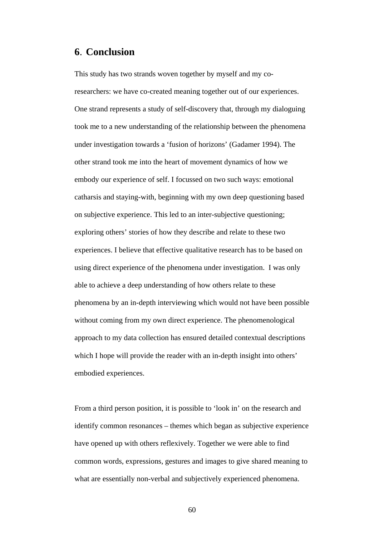## **6**. **Conclusion**

This study has two strands woven together by myself and my coresearchers: we have co-created meaning together out of our experiences. One strand represents a study of self-discovery that, through my dialoguing took me to a new understanding of the relationship between the phenomena under investigation towards a 'fusion of horizons' (Gadamer 1994). The other strand took me into the heart of movement dynamics of how we embody our experience of self. I focussed on two such ways: emotional catharsis and staying-with, beginning with my own deep questioning based on subjective experience. This led to an inter-subjective questioning; exploring others' stories of how they describe and relate to these two experiences. I believe that effective qualitative research has to be based on using direct experience of the phenomena under investigation. I was only able to achieve a deep understanding of how others relate to these phenomena by an in-depth interviewing which would not have been possible without coming from my own direct experience. The phenomenological approach to my data collection has ensured detailed contextual descriptions which I hope will provide the reader with an in-depth insight into others' embodied experiences.

From a third person position, it is possible to 'look in' on the research and identify common resonances – themes which began as subjective experience have opened up with others reflexively. Together we were able to find common words, expressions, gestures and images to give shared meaning to what are essentially non-verbal and subjectively experienced phenomena.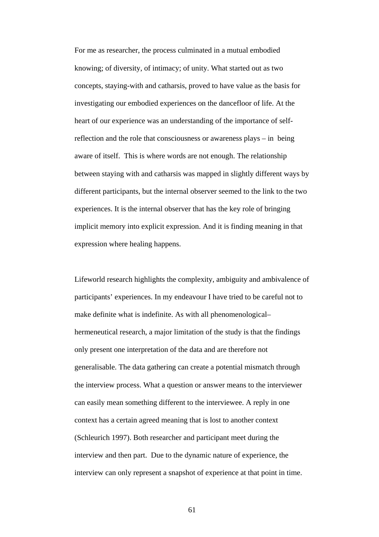For me as researcher, the process culminated in a mutual embodied knowing; of diversity, of intimacy; of unity. What started out as two concepts, staying-with and catharsis, proved to have value as the basis for investigating our embodied experiences on the dancefloor of life. At the heart of our experience was an understanding of the importance of selfreflection and the role that consciousness or awareness plays – in being aware of itself. This is where words are not enough. The relationship between staying with and catharsis was mapped in slightly different ways by different participants, but the internal observer seemed to the link to the two experiences. It is the internal observer that has the key role of bringing implicit memory into explicit expression. And it is finding meaning in that expression where healing happens.

Lifeworld research highlights the complexity, ambiguity and ambivalence of participants' experiences. In my endeavour I have tried to be careful not to make definite what is indefinite. As with all phenomenological– hermeneutical research, a major limitation of the study is that the findings only present one interpretation of the data and are therefore not generalisable. The data gathering can create a potential mismatch through the interview process. What a question or answer means to the interviewer can easily mean something different to the interviewee. A reply in one context has a certain agreed meaning that is lost to another context (Schleurich 1997). Both researcher and participant meet during the interview and then part. Due to the dynamic nature of experience, the interview can only represent a snapshot of experience at that point in time.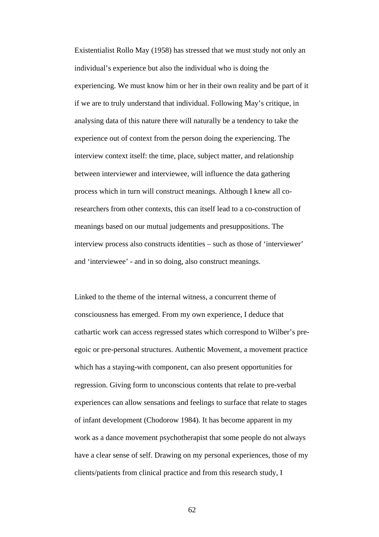Existentialist Rollo May (1958) has stressed that we must study not only an individual's experience but also the individual who is doing the experiencing. We must know him or her in their own reality and be part of it if we are to truly understand that individual. Following May's critique, in analysing data of this nature there will naturally be a tendency to take the experience out of context from the person doing the experiencing. The interview context itself: the time, place, subject matter, and relationship between interviewer and interviewee, will influence the data gathering process which in turn will construct meanings. Although I knew all coresearchers from other contexts, this can itself lead to a co-construction of meanings based on our mutual judgements and presuppositions. The interview process also constructs identities – such as those of 'interviewer' and 'interviewee' - and in so doing, also construct meanings.

Linked to the theme of the internal witness, a concurrent theme of consciousness has emerged. From my own experience, I deduce that cathartic work can access regressed states which correspond to Wilber's preegoic or pre-personal structures. Authentic Movement, a movement practice which has a staying-with component, can also present opportunities for regression. Giving form to unconscious contents that relate to pre-verbal experiences can allow sensations and feelings to surface that relate to stages of infant development (Chodorow 1984). It has become apparent in my work as a dance movement psychotherapist that some people do not always have a clear sense of self. Drawing on my personal experiences, those of my clients/patients from clinical practice and from this research study, I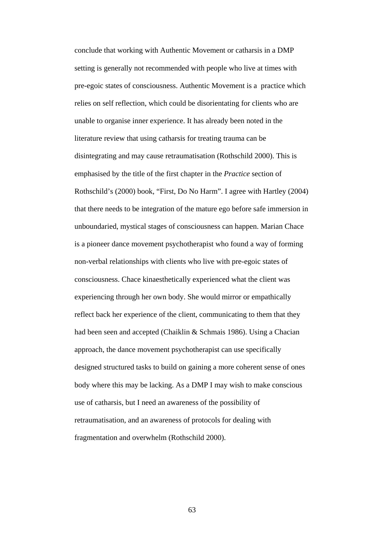conclude that working with Authentic Movement or catharsis in a DMP setting is generally not recommended with people who live at times with pre-egoic states of consciousness. Authentic Movement is a practice which relies on self reflection, which could be disorientating for clients who are unable to organise inner experience. It has already been noted in the literature review that using catharsis for treating trauma can be disintegrating and may cause retraumatisation (Rothschild 2000). This is emphasised by the title of the first chapter in the *Practice* section of Rothschild's (2000) book, "First, Do No Harm". I agree with Hartley (2004) that there needs to be integration of the mature ego before safe immersion in unboundaried, mystical stages of consciousness can happen. Marian Chace is a pioneer dance movement psychotherapist who found a way of forming non-verbal relationships with clients who live with pre-egoic states of consciousness. Chace kinaesthetically experienced what the client was experiencing through her own body. She would mirror or empathically reflect back her experience of the client, communicating to them that they had been seen and accepted (Chaiklin & Schmais 1986). Using a Chacian approach, the dance movement psychotherapist can use specifically designed structured tasks to build on gaining a more coherent sense of ones body where this may be lacking. As a DMP I may wish to make conscious use of catharsis, but I need an awareness of the possibility of retraumatisation, and an awareness of protocols for dealing with fragmentation and overwhelm (Rothschild 2000).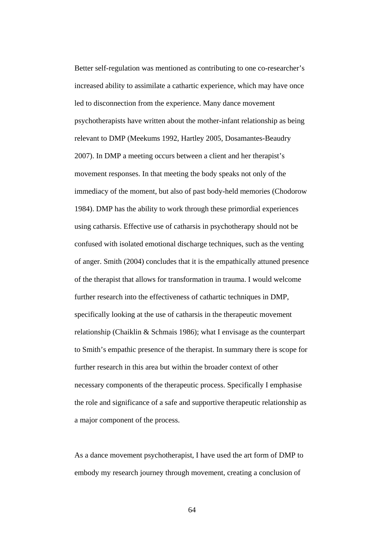Better self-regulation was mentioned as contributing to one co-researcher's increased ability to assimilate a cathartic experience, which may have once led to disconnection from the experience. Many dance movement psychotherapists have written about the mother-infant relationship as being relevant to DMP (Meekums 1992, Hartley 2005, Dosamantes-Beaudry 2007). In DMP a meeting occurs between a client and her therapist's movement responses. In that meeting the body speaks not only of the immediacy of the moment, but also of past body-held memories (Chodorow 1984). DMP has the ability to work through these primordial experiences using catharsis. Effective use of catharsis in psychotherapy should not be confused with isolated emotional discharge techniques, such as the venting of anger. Smith (2004) concludes that it is the empathically attuned presence of the therapist that allows for transformation in trauma. I would welcome further research into the effectiveness of cathartic techniques in DMP, specifically looking at the use of catharsis in the therapeutic movement relationship (Chaiklin & Schmais 1986); what I envisage as the counterpart to Smith's empathic presence of the therapist. In summary there is scope for further research in this area but within the broader context of other necessary components of the therapeutic process. Specifically I emphasise the role and significance of a safe and supportive therapeutic relationship as a major component of the process.

As a dance movement psychotherapist, I have used the art form of DMP to embody my research journey through movement, creating a conclusion of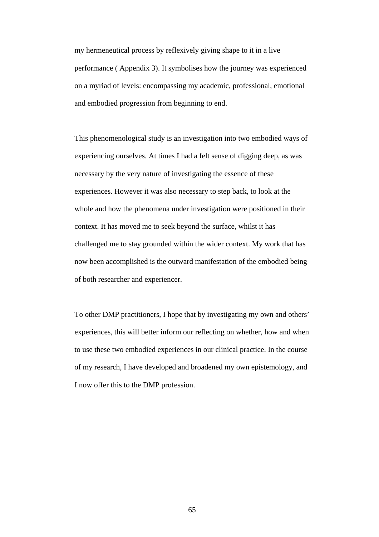my hermeneutical process by reflexively giving shape to it in a live performance ( Appendix 3). It symbolises how the journey was experienced on a myriad of levels: encompassing my academic, professional, emotional and embodied progression from beginning to end.

This phenomenological study is an investigation into two embodied ways of experiencing ourselves. At times I had a felt sense of digging deep, as was necessary by the very nature of investigating the essence of these experiences. However it was also necessary to step back, to look at the whole and how the phenomena under investigation were positioned in their context. It has moved me to seek beyond the surface, whilst it has challenged me to stay grounded within the wider context. My work that has now been accomplished is the outward manifestation of the embodied being of both researcher and experiencer.

To other DMP practitioners, I hope that by investigating my own and others' experiences, this will better inform our reflecting on whether, how and when to use these two embodied experiences in our clinical practice. In the course of my research, I have developed and broadened my own epistemology, and I now offer this to the DMP profession.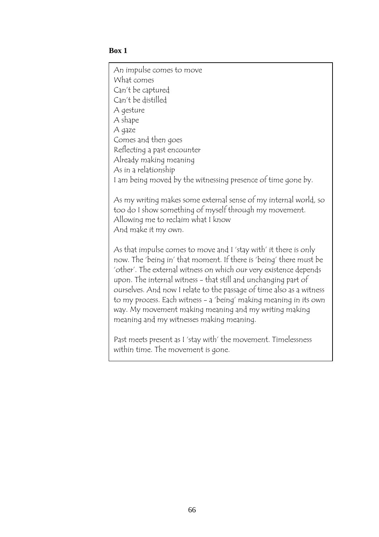## **Box 1**

An impulse comes to move What comes Can't be captured Can't be distilled A gesture A shape A gaze Comes and then goes Reflecting a past encounter Already making meaning As in a relationship I am being moved by the witnessing presence of time gone by.

As my writing makes some external sense of my internal world, so too do I show something of myself through my movement. Allowing me to reclaim what I know And make it my own.

As that impulse comes to move and I 'stay with' it there is only now. The 'being in' that moment. If there is 'being' there must be 'other'. The external witness on which our very existence depends upon. The internal witness - that still and unchanging part of ourselves. And now I relate to the passage of time also as a witness to my process. Each witness - a 'being' making meaning in its own way. My movement making meaning and my writing making meaning and my witnesses making meaning.

Past meets present as I 'stay with' the movement. Timelessness within time. The movement is gone.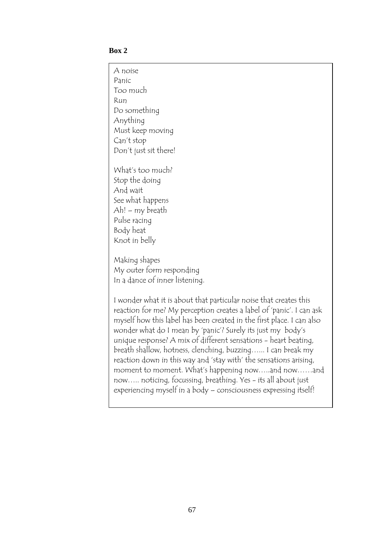### **Box 2**

A noise Panic Too much Run Do something Anything Must keep moving Can't stop Don't just sit there! What's too much? Stop the doing And wait See what happens Ah! – my breath Pulse racing Body heat Knot in belly Making shapes My outer form responding In a dance of inner listening. I wonder what it is about that particular noise that creates this reaction for me? My perception creates a label of 'panic'. I can ask myself how this label has been created in the first place. I can also wonder what do I mean by 'panic'? Surely its just my body's unique response? A mix of different sensations - heart beating, breath shallow, hotness, clenching, buzzing…... I can break my reaction down in this way and 'stay with' the sensations arising, moment to moment. What's happening now…..and now……and now….. noticing, focussing, breathing. Yes - its all about just experiencing myself in a body – consciousness expressing itself!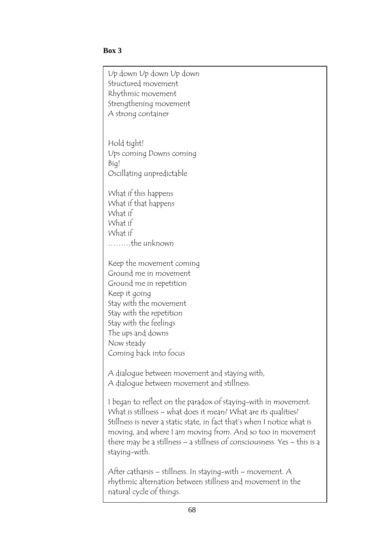## **Box 3**

Up down Up down Up down Structured movement Rhythmic movement Strengthening movement A strong container

Hold tight! Ups coming Downs coming Big! Oscillating unpredictable

What if this happens What if that happens What if What if What if ………the unknown

Keep the movement coming Ground me in movement Ground me in repetition Keep it going Stay with the movement Stay with the repetition Stay with the feelings The ups and downs Now steady Coming back into focus

A dialogue between movement and staying with, A dialogue between movement and stillness.

I began to reflect on the paradox of staying-with in movement. What is stillness – what does it mean? What are its qualities? Stillness is never a static state, in fact that's when I notice what is moving, and where I am moving from. And so too in movement there may be a stillness – a stillness of consciousness. Yes – this is a staying-with.

After catharsis – stillness. In staying-with – movement. A rhythmic alternation between stillness and movement in the natural cycle of things.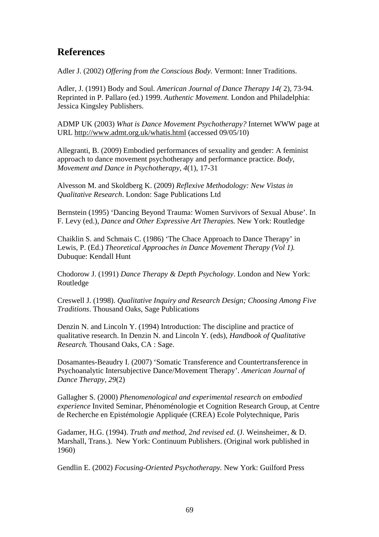# **References**

Adler J. (2002) *Offering from the Conscious Body.* Vermont: Inner Traditions.

Adler, J. (1991) Body and Soul. *American Journal of Dance Therapy 14(* 2), 73-94*.* Reprinted in P. Pallaro (ed.) 1999. *Authentic Movement.* London and Philadelphia: Jessica Kingsley Publishers.

ADMP UK (2003) *What is Dance Movement Psychotherapy?* Internet WWW page at URL http://www.admt.org.uk/whatis.html (accessed 09/05/10)

Allegranti, B. (2009) Embodied performances of sexuality and gender: A feminist approach to dance movement psychotherapy and performance practice. *Body, Movement and Dance in Psychotherapy, 4*(1), 17-31

Alvesson M. and Skoldberg K. (2009) *Reflexive Methodology: New Vistas in Qualitative Research*. London: Sage Publications Ltd

Bernstein (1995) 'Dancing Beyond Trauma: Women Survivors of Sexual Abuse'. In F. Levy (ed.), *Dance and Other Expressive Art Therapies.* New York: Routledge

Chaiklin S. and Schmais C. (1986) 'The Chace Approach to Dance Therapy' in Lewis, P. (Ed.) *Theoretical Approaches in Dance Movement Therapy (Vol 1).*  Dubuque: Kendall Hunt

Chodorow J. (1991) *Dance Therapy & Depth Psychology*. London and New York: Routledge

Creswell J. (1998). *Qualitative Inquiry and Research Design; Choosing Among Five Traditions*. Thousand Oaks, Sage Publications

Denzin N. and Lincoln Y. (1994) Introduction: The discipline and practice of qualitative research. In Denzin N. and Lincoln Y. (eds), *Handbook of Qualitative Research.* Thousand Oaks, CA : Sage.

Dosamantes-Beaudry I. (2007) 'Somatic Transference and Countertransference in Psychoanalytic Intersubjective Dance/Movement Therapy'. *American Journal of Dance Therapy, 29*(2)

Gallagher S. (2000) *Phenomenological and experimental research on embodied experience* Invited Seminar, Phénoménologie et Cognition Research Group, at Centre de Recherche en Epistémologie Appliquée (CREA) Ecole Polytechnique, Paris

Gadamer, H.G. (1994). *Truth and method, 2nd revised ed.* (J. Weinsheimer, & D. Marshall, Trans.). New York: Continuum Publishers. (Original work published in 1960)

Gendlin E. (2002) *Focusing-Oriented Psychotherapy.* New York: Guilford Press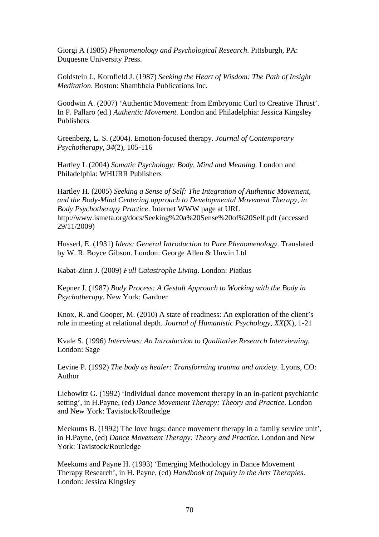Giorgi A (1985) *Phenomenology and Psychological Research*. Pittsburgh, PA: Duquesne University Press.

Goldstein J., Kornfield J. (1987) *Seeking the Heart of Wisdom: The Path of Insight Meditation*. Boston: Shambhala Publications Inc.

Goodwin A. (2007) 'Authentic Movement: from Embryonic Curl to Creative Thrust'. In P. Pallaro (ed.) *Authentic Movement.* London and Philadelphia: Jessica Kingsley Publishers

Greenberg, L. S. (2004). Emotion-focused therapy. *Journal of Contemporary Psychotherapy, 34*(2), 105-116

Hartley L (2004) *Somatic Psychology: Body, Mind and Meaning.* London and Philadelphia: WHURR Publishers

Hartley H. (2005) *Seeking a Sense of Self: The Integration of Authentic Movement, and the Body-Mind Centering approach to Developmental Movement Therapy, in Body Psychotherapy Practice*. Internet WWW page at URL http://www.ismeta.org/docs/Seeking%20a%20Sense%20of%20Self.pdf (accessed 29/11/2009)

Husserl, E. (1931) *Ideas: General Introduction to Pure Phenomenology*. Translated by W. R. Boyce Gibson. London: George Allen & Unwin Ltd

Kabat-Zinn J. (2009) *Full Catastrophe Living*. London: Piatkus

Kepner J. (1987) *Body Process: A Gestalt Approach to Working with the Body in Psychotherapy.* New York: Gardner

Knox, R. and Cooper, M. (2010) A state of readiness: An exploration of the client's role in meeting at relational depth. *Journal of Humanistic Psychology, XX*(X), 1-21

Kvale S. (1996) *Interviews: An Introduction to Qualitative Research Interviewing.*  London: Sage

Levine P. (1992) *The body as healer: Transforming trauma and anxiety.* Lyons, CO: Author

Liebowitz G. (1992) 'Individual dance movement therapy in an in-patient psychiatric setting', in H.Payne, (ed) *Dance Movement Therapy: Theory and Practice.* London and New York: Tavistock/Routledge

Meekums B. (1992) The love bugs: dance movement therapy in a family service unit', in H.Payne, (ed) *Dance Movement Therapy: Theory and Practice.* London and New York: Tavistock/Routledge

Meekums and Payne H. (1993) 'Emerging Methodology in Dance Movement Therapy Research', in H. Payne, (ed) *Handbook of Inquiry in the Arts Therapies*. London: Jessica Kingsley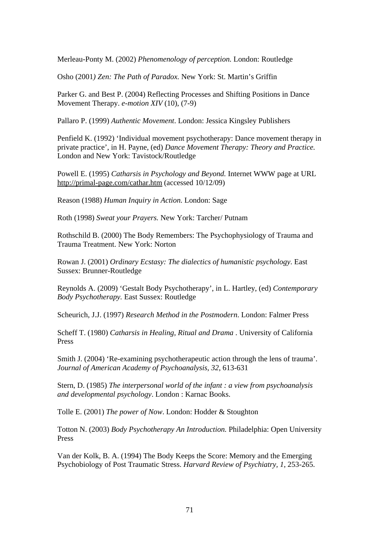Merleau-Ponty M. (2002) *Phenomenology of perception.* London: Routledge

Osho (2001*) Zen: The Path of Paradox.* New York: St. Martin's Griffin

Parker G. and Best P. (2004) Reflecting Processes and Shifting Positions in Dance Movement Therapy. *e-motion XIV* (10), (7-9)

Pallaro P. (1999) *Authentic Movement*. London: Jessica Kingsley Publishers

Penfield K. (1992) 'Individual movement psychotherapy: Dance movement therapy in private practice', in H. Payne, (ed) *Dance Movement Therapy: Theory and Practice.*  London and New York: Tavistock/Routledge

Powell E. (1995) *Catharsis in Psychology and Beyond.* Internet WWW page at URL http://primal-page.com/cathar.htm (accessed 10/12/09)

Reason (1988) *Human Inquiry in Action.* London: Sage

Roth (1998) *Sweat your Prayers.* New York: Tarcher/ Putnam

Rothschild B. (2000) The Body Remembers: The Psychophysiology of Trauma and Trauma Treatment. New York: Norton

Rowan J. (2001) *Ordinary Ecstasy: The dialectics of humanistic psychology*. East Sussex: Brunner-Routledge

Reynolds A. (2009) 'Gestalt Body Psychotherapy', in L. Hartley, (ed) *Contemporary Body Psychotherapy.* East Sussex: Routledge

Scheurich, J.J. (1997) *Research Method in the Postmodern*. London: Falmer Press

Scheff T. (1980) *Catharsis in Healing, Ritual and Drama* . University of California Press

Smith J. (2004) 'Re-examining psychotherapeutic action through the lens of trauma'. *Journal of American Academy of Psychoanalysis, 32*, 613-631

Stern, D. (1985) *The interpersonal world of the infant : a view from psychoanalysis and developmental psychology*. London : Karnac Books.

Tolle E. (2001) *The power of Now*. London: Hodder & Stoughton

Totton N. (2003) *Body Psychotherapy An Introduction.* Philadelphia: Open University Press

Van der Kolk, B. A. (1994) The Body Keeps the Score: Memory and the Emerging Psychobiology of Post Traumatic Stress. *Harvard Review of Psychiatry, 1*, 253-265.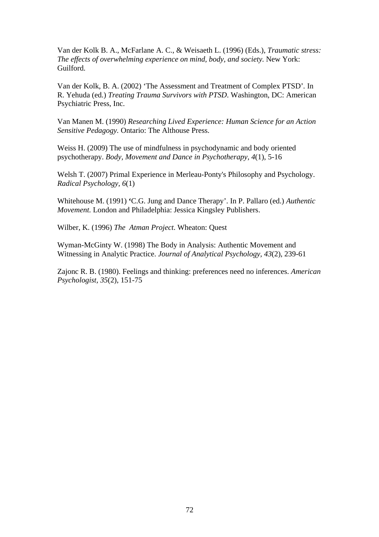Van der Kolk B. A., McFarlane A. C., & Weisaeth L. (1996) (Eds.), *Traumatic stress: The effects of overwhelming experience on mind, body, and society.* New York: Guilford.

Van der Kolk, B. A. (2002) 'The Assessment and Treatment of Complex PTSD'*.* In R. Yehuda (ed.) *Treating Trauma Survivors with PTSD*. Washington, DC: American Psychiatric Press, Inc.

Van Manen M. (1990) *Researching Lived Experience: Human Science for an Action Sensitive Pedagogy.* Ontario: The Althouse Press.

Weiss H. (2009) The use of mindfulness in psychodynamic and body oriented psychotherapy. *Body, Movement and Dance in Psychotherapy, 4*(1), 5-16

Welsh T. (2007) Primal Experience in Merleau-Ponty's Philosophy and Psychology. *Radical Psychology, 6*(1)

Whitehouse M. (1991) **'**C.G. Jung and Dance Therapy'. In P. Pallaro (ed.) *Authentic Movement.* London and Philadelphia: Jessica Kingsley Publishers.

Wilber, K. (1996) *The Atman Project*. Wheaton: Quest

Wyman-McGinty W. (1998) The Body in Analysis: Authentic Movement and Witnessing in Analytic Practice. *Journal of Analytical Psychology, 43*(2), 239-61

Zajonc R. B. (1980). Feelings and thinking: preferences need no inferences. *American Psychologist, 35*(2), 151-75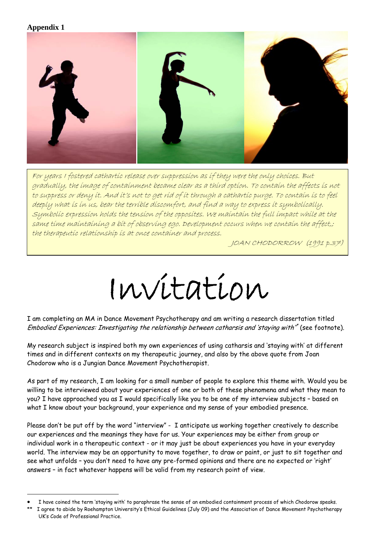### **Appendix 1**

 $\overline{\phantom{a}}$ 

 $\overline{a}$ 



to de<br>Su<br>Sa<br>th For years I fostered cathartic release over suppression as if they were the only choices. But gradually, the image of containment became clear as a third option. To contain the affects is not to suppress or deny it. And it's not to get rid of it through a cathartic purge. To contain is to feel deeply what is in us, bear the terrible discomfort, and find a way to express it symbolically. Symbolic expression holds the tension of the opposites. We maintain the full impact while at the same time maintaining a bit of observing ego. Development occurs when we contain the affect,; the therapeutic relationship is at once container and process.

JOAN CHODORROW (1991 p.37)

# Invitation

I am completing an MA in Dance Movement Psychotherapy and am writing a research dissertation titled Embodied Experiences: Investigating the relationship between catharsis and 'staying with'<sup>\*</sup> (see footnote).

My research subject is inspired both my own experiences of using catharsis and 'staying with' at different times and in different contexts on my therapeutic journey, and also by the above quote from Joan Chodorow who is a Jungian Dance Movement Psychotherapist.

As part of my research, I am looking for a small number of people to explore this theme with. Would you be willing to be interviewed about your experiences of one or both of these phenomena and what they mean to you? I have approached you as I would specifically like you to be one of my interview subjects – based on what I know about your background, your experience and my sense of your embodied presence.

Please don't be put off by the word "interview" - I anticipate us working together creatively to describe our experiences and the meanings they have for us. Your experiences may be either from group or individual work in a therapeutic context - or it may just be about experiences you have in your everyday world. The interview may be an opportunity to move together, to draw or paint, or just to sit together and see what unfolds – you don't need to have any pre-formed opinions and there are no expected or 'right' answers – in fact whatever happens will be valid from my research point of view.

I have coined the term 'staying with' to paraphrase the sense of an embodied containment process of which Chodorow speaks.

<sup>\*\*</sup> I agree to abide by Roehampton University's Ethical Guidelines (July 09) and the Association of Dance Movement Psychotherapy UK's Code of Professional Practice.